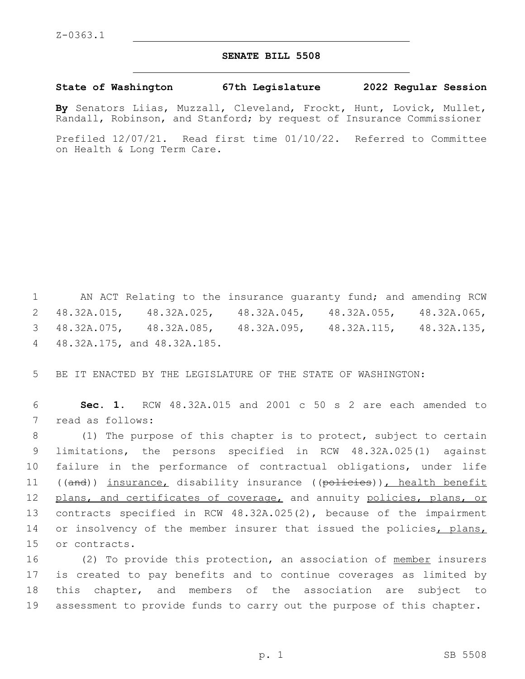## **SENATE BILL 5508**

**State of Washington 67th Legislature 2022 Regular Session**

**By** Senators Liias, Muzzall, Cleveland, Frockt, Hunt, Lovick, Mullet, Randall, Robinson, and Stanford; by request of Insurance Commissioner

Prefiled 12/07/21. Read first time 01/10/22. Referred to Committee on Health & Long Term Care.

 AN ACT Relating to the insurance guaranty fund; and amending RCW 48.32A.015, 48.32A.025, 48.32A.045, 48.32A.055, 48.32A.065, 48.32A.075, 48.32A.085, 48.32A.095, 48.32A.115, 48.32A.135, 48.32A.175, and 48.32A.185.4

5 BE IT ENACTED BY THE LEGISLATURE OF THE STATE OF WASHINGTON:

6 **Sec. 1.** RCW 48.32A.015 and 2001 c 50 s 2 are each amended to 7 read as follows:

8 (1) The purpose of this chapter is to protect, subject to certain 9 limitations, the persons specified in RCW 48.32A.025(1) against 10 failure in the performance of contractual obligations, under life 11 ((and)) insurance, disability insurance ((policies)), health benefit 12 plans, and certificates of coverage, and annuity policies, plans, or 13 contracts specified in RCW 48.32A.025(2), because of the impairment 14 or insolvency of the member insurer that issued the policies, plans, 15 or contracts.

16 (2) To provide this protection, an association of member insurers is created to pay benefits and to continue coverages as limited by this chapter, and members of the association are subject to assessment to provide funds to carry out the purpose of this chapter.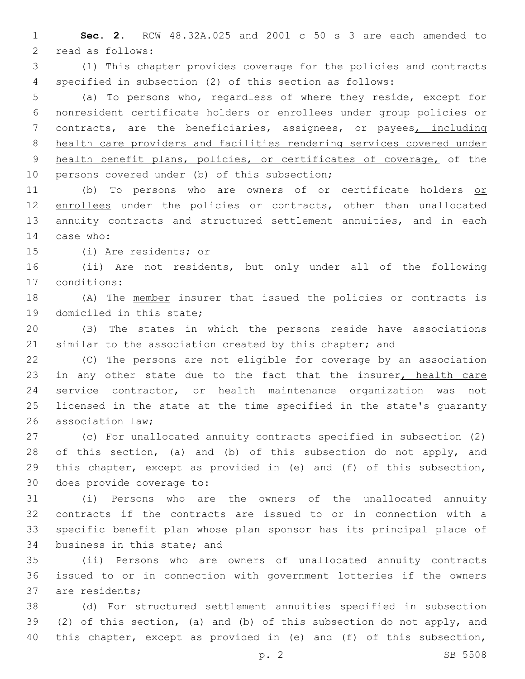**Sec. 2.** RCW 48.32A.025 and 2001 c 50 s 3 are each amended to 2 read as follows:

 (1) This chapter provides coverage for the policies and contracts specified in subsection (2) of this section as follows:

 (a) To persons who, regardless of where they reside, except for nonresident certificate holders or enrollees under group policies or contracts, are the beneficiaries, assignees, or payees, including health care providers and facilities rendering services covered under health benefit plans, policies, or certificates of coverage, of the 10 persons covered under (b) of this subsection;

11 (b) To persons who are owners of or certificate holders or 12 enrollees under the policies or contracts, other than unallocated annuity contracts and structured settlement annuities, and in each 14 case who:

15 (i) Are residents; or

 (ii) Are not residents, but only under all of the following conditions:17

 (A) The member insurer that issued the policies or contracts is 19 domiciled in this state;

 (B) The states in which the persons reside have associations 21 similar to the association created by this chapter; and

 (C) The persons are not eligible for coverage by an association 23 in any other state due to the fact that the insurer, health care service contractor, or health maintenance organization was not licensed in the state at the time specified in the state's guaranty 26 association law:

 (c) For unallocated annuity contracts specified in subsection (2) 28 of this section, (a) and (b) of this subsection do not apply, and this chapter, except as provided in (e) and (f) of this subsection, 30 does provide coverage to:

 (i) Persons who are the owners of the unallocated annuity contracts if the contracts are issued to or in connection with a specific benefit plan whose plan sponsor has its principal place of 34 business in this state; and

 (ii) Persons who are owners of unallocated annuity contracts issued to or in connection with government lotteries if the owners 37 are residents;

 (d) For structured settlement annuities specified in subsection (2) of this section, (a) and (b) of this subsection do not apply, and this chapter, except as provided in (e) and (f) of this subsection,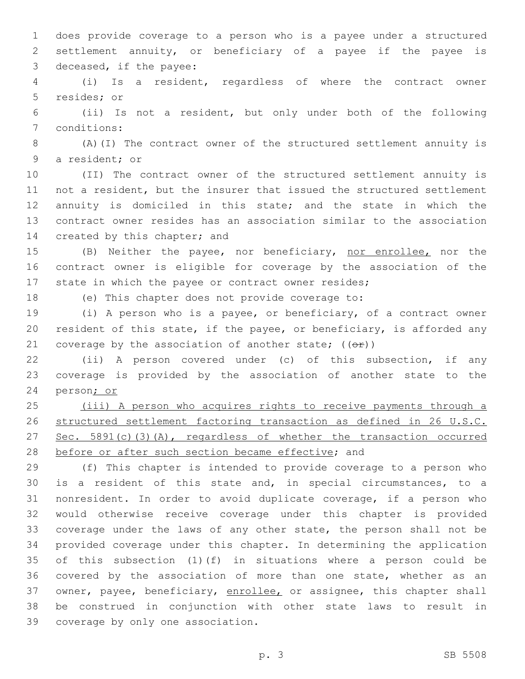does provide coverage to a person who is a payee under a structured settlement annuity, or beneficiary of a payee if the payee is 3 deceased, if the payee:

 (i) Is a resident, regardless of where the contract owner 5 resides; or

 (ii) Is not a resident, but only under both of the following 7 conditions:

 (A)(I) The contract owner of the structured settlement annuity is 9 a resident; or

 (II) The contract owner of the structured settlement annuity is not a resident, but the insurer that issued the structured settlement annuity is domiciled in this state; and the state in which the contract owner resides has an association similar to the association 14 created by this chapter; and

 (B) Neither the payee, nor beneficiary, nor enrollee, nor the contract owner is eligible for coverage by the association of the state in which the payee or contract owner resides;

(e) This chapter does not provide coverage to:

 (i) A person who is a payee, or beneficiary, of a contract owner resident of this state, if the payee, or beneficiary, is afforded any 21 coverage by the association of another state;  $((\theta \cdot \hat{r}))$ 

 (ii) A person covered under (c) of this subsection, if any coverage is provided by the association of another state to the person; or

 (iii) A person who acquires rights to receive payments through a structured settlement factoring transaction as defined in 26 U.S.C. 27 Sec. 5891(c)(3)(A), regardless of whether the transaction occurred 28 before or after such section became effective; and

 (f) This chapter is intended to provide coverage to a person who is a resident of this state and, in special circumstances, to a nonresident. In order to avoid duplicate coverage, if a person who would otherwise receive coverage under this chapter is provided coverage under the laws of any other state, the person shall not be provided coverage under this chapter. In determining the application of this subsection (1)(f) in situations where a person could be covered by the association of more than one state, whether as an 37 owner, payee, beneficiary, enrollee, or assignee, this chapter shall be construed in conjunction with other state laws to result in 39 coverage by only one association.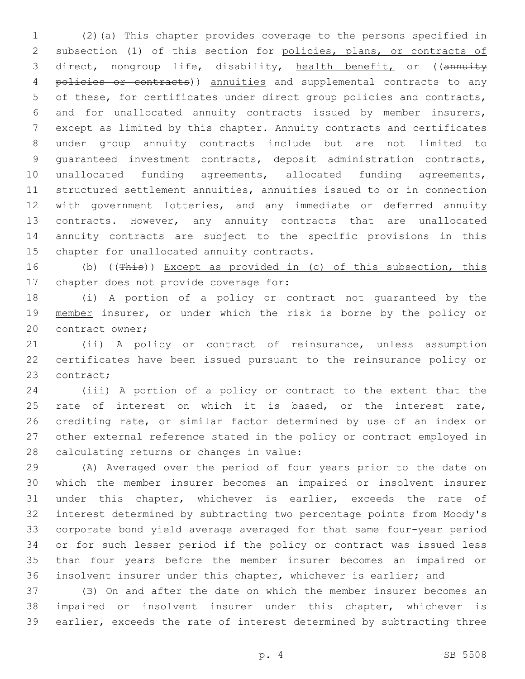(2)(a) This chapter provides coverage to the persons specified in subsection (1) of this section for policies, plans, or contracts of 3 direct, nongroup life, disability, health benefit, or ((annuity 4 policies or contracts)) annuities and supplemental contracts to any of these, for certificates under direct group policies and contracts, and for unallocated annuity contracts issued by member insurers, except as limited by this chapter. Annuity contracts and certificates under group annuity contracts include but are not limited to guaranteed investment contracts, deposit administration contracts, unallocated funding agreements, allocated funding agreements, structured settlement annuities, annuities issued to or in connection with government lotteries, and any immediate or deferred annuity contracts. However, any annuity contracts that are unallocated annuity contracts are subject to the specific provisions in this 15 chapter for unallocated annuity contracts.

16 (b) ((This)) Except as provided in (c) of this subsection, this 17 chapter does not provide coverage for:

 (i) A portion of a policy or contract not guaranteed by the 19 member insurer, or under which the risk is borne by the policy or 20 contract owner;

 (ii) A policy or contract of reinsurance, unless assumption certificates have been issued pursuant to the reinsurance policy or 23 contract;

 (iii) A portion of a policy or contract to the extent that the 25 rate of interest on which it is based, or the interest rate, crediting rate, or similar factor determined by use of an index or other external reference stated in the policy or contract employed in 28 calculating returns or changes in value:

 (A) Averaged over the period of four years prior to the date on which the member insurer becomes an impaired or insolvent insurer under this chapter, whichever is earlier, exceeds the rate of interest determined by subtracting two percentage points from Moody's corporate bond yield average averaged for that same four-year period or for such lesser period if the policy or contract was issued less than four years before the member insurer becomes an impaired or insolvent insurer under this chapter, whichever is earlier; and

 (B) On and after the date on which the member insurer becomes an impaired or insolvent insurer under this chapter, whichever is earlier, exceeds the rate of interest determined by subtracting three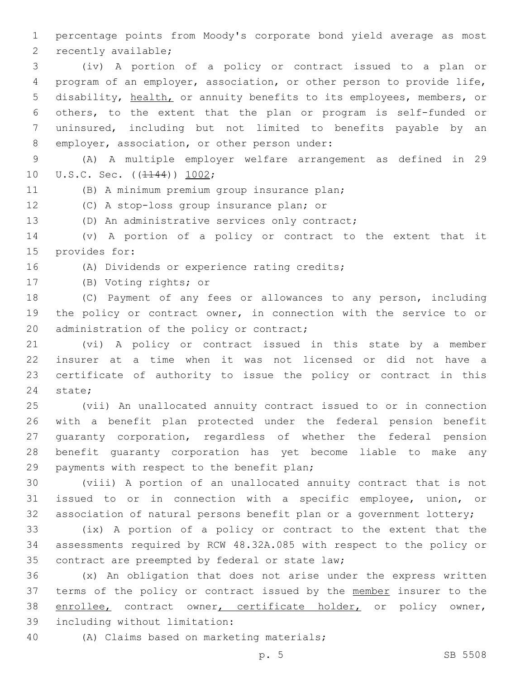1 percentage points from Moody's corporate bond yield average as most 2 recently available;

 (iv) A portion of a policy or contract issued to a plan or program of an employer, association, or other person to provide life, disability, health, or annuity benefits to its employees, members, or others, to the extent that the plan or program is self-funded or uninsured, including but not limited to benefits payable by an 8 employer, association, or other person under:

9 (A) A multiple employer welfare arrangement as defined in 29 10 U.S.C. Sec. ((1144)) 1002;

(B) A minimum premium group insurance plan;

12 (C) A stop-loss group insurance plan; or

13 (D) An administrative services only contract;

14 (v) A portion of a policy or contract to the extent that it 15 provides for:

16 (A) Dividends or experience rating credits;

17 (B) Voting rights; or

18 (C) Payment of any fees or allowances to any person, including 19 the policy or contract owner, in connection with the service to or 20 administration of the policy or contract;

 (vi) A policy or contract issued in this state by a member insurer at a time when it was not licensed or did not have a certificate of authority to issue the policy or contract in this 24 state;

 (vii) An unallocated annuity contract issued to or in connection with a benefit plan protected under the federal pension benefit guaranty corporation, regardless of whether the federal pension benefit guaranty corporation has yet become liable to make any 29 payments with respect to the benefit plan;

30 (viii) A portion of an unallocated annuity contract that is not 31 issued to or in connection with a specific employee, union, or 32 association of natural persons benefit plan or a government lottery;

33 (ix) A portion of a policy or contract to the extent that the 34 assessments required by RCW 48.32A.085 with respect to the policy or 35 contract are preempted by federal or state law;

36 (x) An obligation that does not arise under the express written 37 terms of the policy or contract issued by the member insurer to the 38 enrollee, contract owner, certificate holder, or policy owner, 39 including without limitation:

40 (A) Claims based on marketing materials;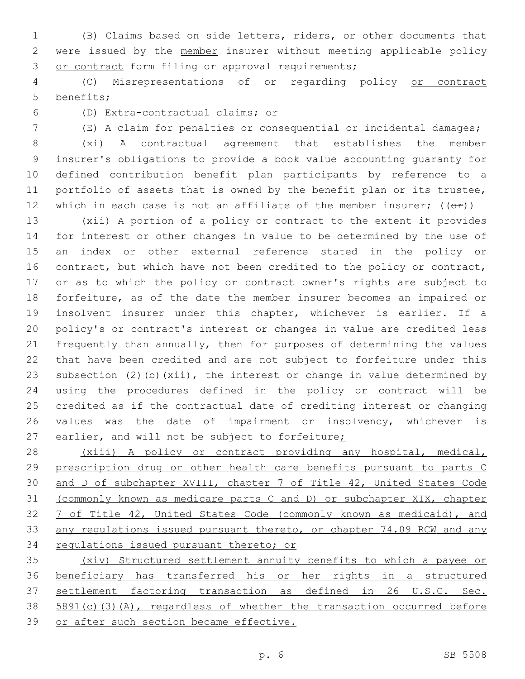(B) Claims based on side letters, riders, or other documents that 2 were issued by the member insurer without meeting applicable policy 3 or contract form filing or approval requirements;

 (C) Misrepresentations of or regarding policy or contract 5 benefits;

(D) Extra-contractual claims; or6

(E) A claim for penalties or consequential or incidental damages;

 (xi) A contractual agreement that establishes the member insurer's obligations to provide a book value accounting guaranty for defined contribution benefit plan participants by reference to a portfolio of assets that is owned by the benefit plan or its trustee, 12 which in each case is not an affiliate of the member insurer;  $((\theta \hat{r}))$ 

 (xii) A portion of a policy or contract to the extent it provides for interest or other changes in value to be determined by the use of an index or other external reference stated in the policy or 16 contract, but which have not been credited to the policy or contract, or as to which the policy or contract owner's rights are subject to forfeiture, as of the date the member insurer becomes an impaired or insolvent insurer under this chapter, whichever is earlier. If a policy's or contract's interest or changes in value are credited less frequently than annually, then for purposes of determining the values that have been credited and are not subject to forfeiture under this subsection (2)(b)(xii), the interest or change in value determined by using the procedures defined in the policy or contract will be credited as if the contractual date of crediting interest or changing values was the date of impairment or insolvency, whichever is 27 earlier, and will not be subject to forfeiture;

 (xiii) A policy or contract providing any hospital, medical, prescription drug or other health care benefits pursuant to parts C 30 and D of subchapter XVIII, chapter 7 of Title 42, United States Code (commonly known as medicare parts C and D) or subchapter XIX, chapter 7 of Title 42, United States Code (commonly known as medicaid), and any regulations issued pursuant thereto, or chapter 74.09 RCW and any regulations issued pursuant thereto; or

 (xiv) Structured settlement annuity benefits to which a payee or beneficiary has transferred his or her rights in a structured settlement factoring transaction as defined in 26 U.S.C. Sec. 5891(c)(3)(A), regardless of whether the transaction occurred before or after such section became effective.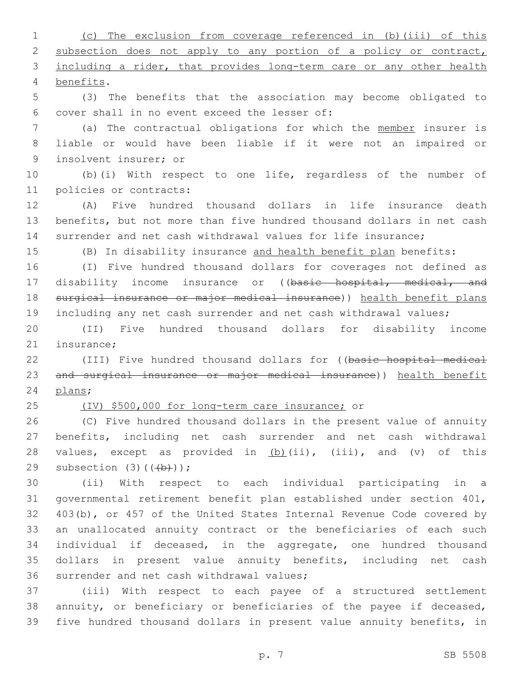(c) The exclusion from coverage referenced in (b)(iii) of this 2 subsection does not apply to any portion of a policy or contract, 3 including a rider, that provides long-term care or any other health benefits.4

 (3) The benefits that the association may become obligated to 6 cover shall in no event exceed the lesser of:

 (a) The contractual obligations for which the member insurer is liable or would have been liable if it were not an impaired or 9 insolvent insurer; or

 (b)(i) With respect to one life, regardless of the number of 11 policies or contracts:

 (A) Five hundred thousand dollars in life insurance death benefits, but not more than five hundred thousand dollars in net cash surrender and net cash withdrawal values for life insurance;

(B) In disability insurance and health benefit plan benefits:

 (I) Five hundred thousand dollars for coverages not defined as 17 disability income insurance or ((basic hospital, medical, and surgical insurance or major medical insurance)) health benefit plans including any net cash surrender and net cash withdrawal values;

 (II) Five hundred thousand dollars for disability income 21 insurance:

 (III) Five hundred thousand dollars for ((basic hospital medical and surgical insurance or major medical insurance)) health benefit 24 plans;

(IV) \$500,000 for long-term care insurance; or

 (C) Five hundred thousand dollars in the present value of annuity benefits, including net cash surrender and net cash withdrawal 28 values, except as provided in (b)(ii), (iii), and (v) of this 29 subsection  $(3)$   $((+b))$ ;

 (ii) With respect to each individual participating in a governmental retirement benefit plan established under section 401, 403(b), or 457 of the United States Internal Revenue Code covered by an unallocated annuity contract or the beneficiaries of each such individual if deceased, in the aggregate, one hundred thousand dollars in present value annuity benefits, including net cash 36 surrender and net cash withdrawal values;

 (iii) With respect to each payee of a structured settlement annuity, or beneficiary or beneficiaries of the payee if deceased, five hundred thousand dollars in present value annuity benefits, in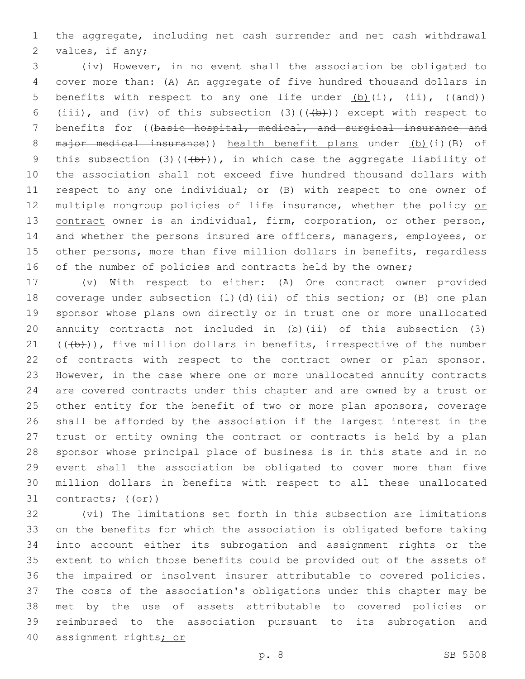the aggregate, including net cash surrender and net cash withdrawal 2 values, if any;

 (iv) However, in no event shall the association be obligated to cover more than: (A) An aggregate of five hundred thousand dollars in 5 benefits with respect to any one life under  $(b)$  (i), (ii), ((and)) 6 (iii), and (iv) of this subsection (3)( $(\overline{+b})$ ) except with respect to 7 benefits for ((basic hospital, medical, and surgical insurance and 8 major medical insurance)) health benefit plans under (b)(i)(B) of 9 this subsection (3)( $(\frac{1}{b})$ ), in which case the aggregate liability of the association shall not exceed five hundred thousand dollars with respect to any one individual; or (B) with respect to one owner of 12 multiple nongroup policies of life insurance, whether the policy or contract owner is an individual, firm, corporation, or other person, and whether the persons insured are officers, managers, employees, or other persons, more than five million dollars in benefits, regardless 16 of the number of policies and contracts held by the owner;

 (v) With respect to either: (A) One contract owner provided coverage under subsection (1)(d)(ii) of this section; or (B) one plan sponsor whose plans own directly or in trust one or more unallocated 20 annuity contracts not included in  $(b)$  (ii) of this subsection (3)  $((+b))$ , five million dollars in benefits, irrespective of the number 22 of contracts with respect to the contract owner or plan sponsor. However, in the case where one or more unallocated annuity contracts are covered contracts under this chapter and are owned by a trust or other entity for the benefit of two or more plan sponsors, coverage shall be afforded by the association if the largest interest in the trust or entity owning the contract or contracts is held by a plan sponsor whose principal place of business is in this state and in no event shall the association be obligated to cover more than five million dollars in benefits with respect to all these unallocated 31 contracts;  $((\theta \hat{r}))$ 

 (vi) The limitations set forth in this subsection are limitations on the benefits for which the association is obligated before taking into account either its subrogation and assignment rights or the extent to which those benefits could be provided out of the assets of the impaired or insolvent insurer attributable to covered policies. The costs of the association's obligations under this chapter may be met by the use of assets attributable to covered policies or reimbursed to the association pursuant to its subrogation and assignment rights; or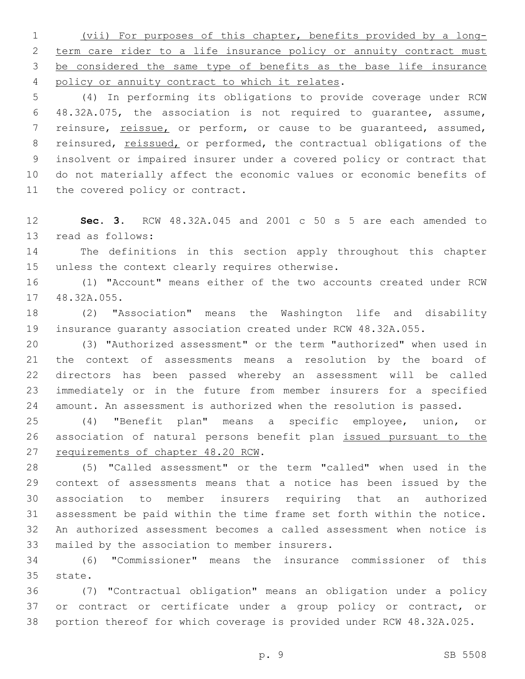(vii) For purposes of this chapter, benefits provided by a long-2 term care rider to a life insurance policy or annuity contract must be considered the same type of benefits as the base life insurance 4 policy or annuity contract to which it relates.

 (4) In performing its obligations to provide coverage under RCW 48.32A.075, the association is not required to guarantee, assume, reinsure, reissue, or perform, or cause to be guaranteed, assumed, 8 reinsured, reissued, or performed, the contractual obligations of the insolvent or impaired insurer under a covered policy or contract that do not materially affect the economic values or economic benefits of 11 the covered policy or contract.

 **Sec. 3.** RCW 48.32A.045 and 2001 c 50 s 5 are each amended to 13 read as follows:

 The definitions in this section apply throughout this chapter 15 unless the context clearly requires otherwise.

 (1) "Account" means either of the two accounts created under RCW 17 48.32A.055.

 (2) "Association" means the Washington life and disability insurance guaranty association created under RCW 48.32A.055.

 (3) "Authorized assessment" or the term "authorized" when used in the context of assessments means a resolution by the board of directors has been passed whereby an assessment will be called immediately or in the future from member insurers for a specified amount. An assessment is authorized when the resolution is passed.

 (4) "Benefit plan" means a specific employee, union, or association of natural persons benefit plan issued pursuant to the 27 requirements of chapter 48.20 RCW.

 (5) "Called assessment" or the term "called" when used in the context of assessments means that a notice has been issued by the association to member insurers requiring that an authorized assessment be paid within the time frame set forth within the notice. An authorized assessment becomes a called assessment when notice is 33 mailed by the association to member insurers.

 (6) "Commissioner" means the insurance commissioner of this 35 state.

 (7) "Contractual obligation" means an obligation under a policy or contract or certificate under a group policy or contract, or portion thereof for which coverage is provided under RCW 48.32A.025.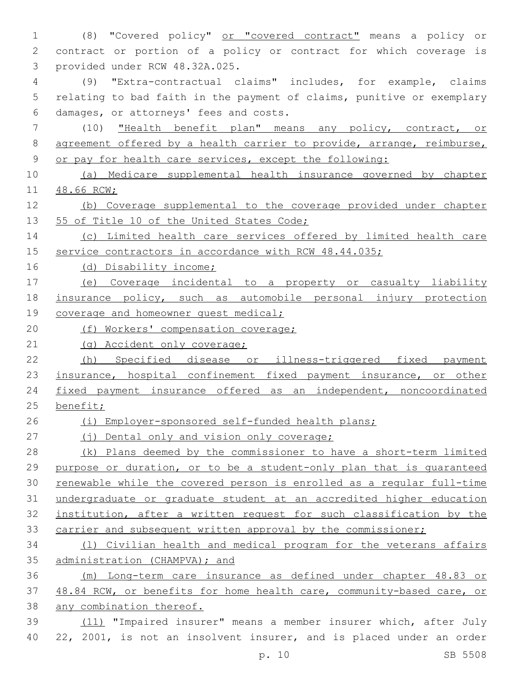(8) "Covered policy" or "covered contract" means a policy or contract or portion of a policy or contract for which coverage is 3 provided under RCW 48.32A.025. (9) "Extra-contractual claims" includes, for example, claims relating to bad faith in the payment of claims, punitive or exemplary damages, or attorneys' fees and costs.6 (10) "Health benefit plan" means any policy, contract, or 8 agreement offered by a health carrier to provide, arrange, reimburse, or pay for health care services, except the following: (a) Medicare supplemental health insurance governed by chapter 48.66 RCW; (b) Coverage supplemental to the coverage provided under chapter 13 55 of Title 10 of the United States Code; (c) Limited health care services offered by limited health care 15 service contractors in accordance with RCW 48.44.035; (d) Disability income; (e) Coverage incidental to a property or casualty liability insurance policy, such as automobile personal injury protection 19 coverage and homeowner quest medical; 20 (f) Workers' compensation coverage; 21 (g) Accident only coverage; (h) Specified disease or illness-triggered fixed payment 23 insurance, hospital confinement fixed payment insurance, or other fixed payment insurance offered as an independent, noncoordinated benefit; (i) Employer-sponsored self-funded health plans; 27 (i) Dental only and vision only coverage; 28 (k) Plans deemed by the commissioner to have a short-term limited purpose or duration, or to be a student-only plan that is guaranteed renewable while the covered person is enrolled as a regular full-time undergraduate or graduate student at an accredited higher education institution, after a written request for such classification by the 33 carrier and subsequent written approval by the commissioner; (l) Civilian health and medical program for the veterans affairs administration (CHAMPVA); and (m) Long-term care insurance as defined under chapter 48.83 or 48.84 RCW, or benefits for home health care, community-based care, or any combination thereof. (11) "Impaired insurer" means a member insurer which, after July 22, 2001, is not an insolvent insurer, and is placed under an order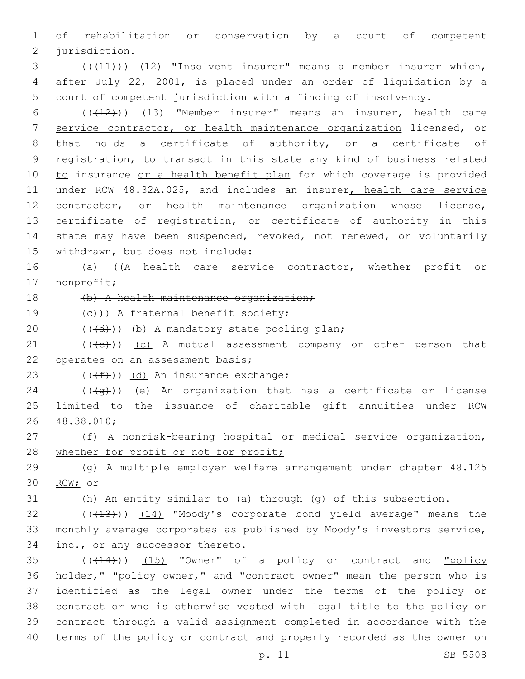1 of rehabilitation or conservation by a court of competent 2 jurisdiction.

3 (( $(11)$ )) (12) "Insolvent insurer" means a member insurer which, 4 after July 22, 2001, is placed under an order of liquidation by a 5 court of competent jurisdiction with a finding of insolvency.

6 (((12)) (13) "Member insurer" means an insurer, health care 7 service contractor, or health maintenance organization licensed, or 8 that holds a certificate of authority, or a certificate of 9 registration, to transact in this state any kind of business related 10 to insurance or a health benefit plan for which coverage is provided 11 under RCW 48.32A.025, and includes an insurer, health care service 12 contractor, or health maintenance organization whose license, 13 certificate of registration, or certificate of authority in this 14 state may have been suspended, revoked, not renewed, or voluntarily 15 withdrawn, but does not include:

16 (a) ((A health care service contractor, whether profit or 17 nonprofit;

18 (b) A health maintenance organization;

19  $(e)$ )) A fraternal benefit society;

20  $((\{d\}) \times (b)$  A mandatory state pooling plan;

 $21$  (( $\left(\frac{1}{12}\right)$ ) (c) A mutual assessment company or other person that 22 operates on an assessment basis;

23  $((\text{#}))$   $(d)$  An insurance exchange;

 $24$  (( $\left(\frac{4}{9}t\right)$ ) (e) An organization that has a certificate or license 25 limited to the issuance of charitable gift annuities under RCW 48.38.010;26

27 (f) A nonrisk-bearing hospital or medical service organization, 28 whether for profit or not for profit;

29 (g) A multiple employer welfare arrangement under chapter 48.125 30 RCW; or

31 (h) An entity similar to (a) through (g) of this subsection.

32 (((413))) (14) "Moody's corporate bond yield average" means the 33 monthly average corporates as published by Moody's investors service, 34 inc., or any successor thereto.

 ( $(\overline{+14})$ )  $(15)$  "Owner" of a policy or contract and "policy 36 holder," "policy owner," and "contract owner" mean the person who is identified as the legal owner under the terms of the policy or contract or who is otherwise vested with legal title to the policy or contract through a valid assignment completed in accordance with the terms of the policy or contract and properly recorded as the owner on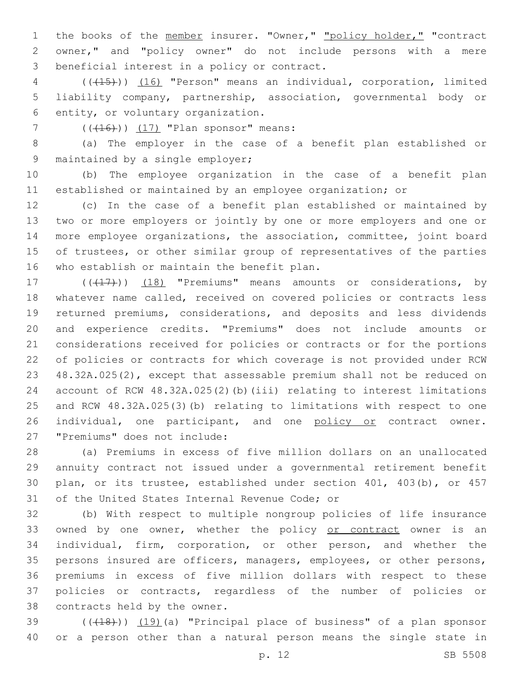1 the books of the member insurer. "Owner," "policy holder," "contract owner," and "policy owner" do not include persons with a mere 3 beneficial interest in a policy or contract.

 (((15))) (16) "Person" means an individual, corporation, limited liability company, partnership, association, governmental body or 6 entity, or voluntary organization.

7  $((416))$   $(17)$  "Plan sponsor" means:

 (a) The employer in the case of a benefit plan established or 9 maintained by a single employer;

 (b) The employee organization in the case of a benefit plan established or maintained by an employee organization; or

 (c) In the case of a benefit plan established or maintained by two or more employers or jointly by one or more employers and one or more employee organizations, the association, committee, joint board of trustees, or other similar group of representatives of the parties 16 who establish or maintain the benefit plan.

17 (((17)) (18) "Premiums" means amounts or considerations, by whatever name called, received on covered policies or contracts less returned premiums, considerations, and deposits and less dividends and experience credits. "Premiums" does not include amounts or considerations received for policies or contracts or for the portions of policies or contracts for which coverage is not provided under RCW 48.32A.025(2), except that assessable premium shall not be reduced on account of RCW 48.32A.025(2)(b)(iii) relating to interest limitations and RCW 48.32A.025(3)(b) relating to limitations with respect to one 26 individual, one participant, and one policy or contract owner. 27 "Premiums" does not include:

 (a) Premiums in excess of five million dollars on an unallocated annuity contract not issued under a governmental retirement benefit plan, or its trustee, established under section 401, 403(b), or 457 31 of the United States Internal Revenue Code; or

 (b) With respect to multiple nongroup policies of life insurance 33 owned by one owner, whether the policy or contract owner is an individual, firm, corporation, or other person, and whether the persons insured are officers, managers, employees, or other persons, premiums in excess of five million dollars with respect to these policies or contracts, regardless of the number of policies or 38 contracts held by the owner.

39 (((418))) (19)(a) "Principal place of business" of a plan sponsor or a person other than a natural person means the single state in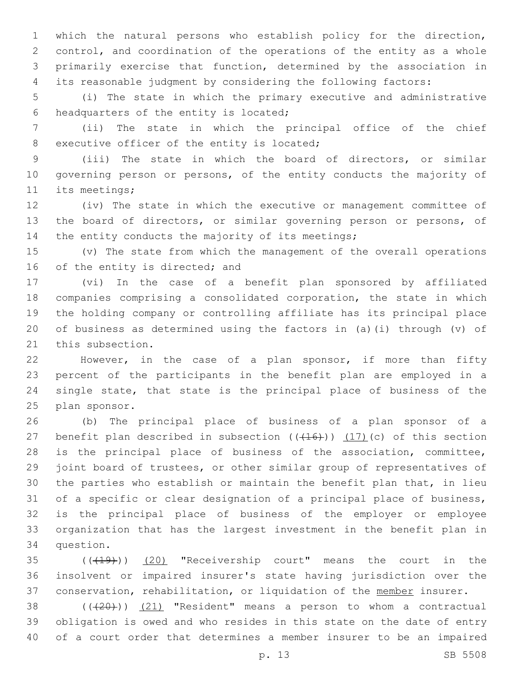which the natural persons who establish policy for the direction, control, and coordination of the operations of the entity as a whole primarily exercise that function, determined by the association in its reasonable judgment by considering the following factors:

 (i) The state in which the primary executive and administrative 6 headquarters of the entity is located;

 (ii) The state in which the principal office of the chief 8 executive officer of the entity is located;

 (iii) The state in which the board of directors, or similar governing person or persons, of the entity conducts the majority of 11 its meetings;

 (iv) The state in which the executive or management committee of the board of directors, or similar governing person or persons, of 14 the entity conducts the majority of its meetings;

 (v) The state from which the management of the overall operations 16 of the entity is directed; and

 (vi) In the case of a benefit plan sponsored by affiliated companies comprising a consolidated corporation, the state in which the holding company or controlling affiliate has its principal place of business as determined using the factors in (a)(i) through (v) of 21 this subsection.

 However, in the case of a plan sponsor, if more than fifty percent of the participants in the benefit plan are employed in a single state, that state is the principal place of business of the 25 plan sponsor.

 (b) The principal place of business of a plan sponsor of a 27 benefit plan described in subsection  $((+16))$   $(17)$  (c) of this section is the principal place of business of the association, committee, joint board of trustees, or other similar group of representatives of the parties who establish or maintain the benefit plan that, in lieu of a specific or clear designation of a principal place of business, is the principal place of business of the employer or employee organization that has the largest investment in the benefit plan in 34 question.

 ( $(\overline{+19})$ )  $(20)$  "Receivership court" means the court in the insolvent or impaired insurer's state having jurisdiction over the 37 conservation, rehabilitation, or liquidation of the member insurer.

38 (((20))) (21) "Resident" means a person to whom a contractual obligation is owed and who resides in this state on the date of entry of a court order that determines a member insurer to be an impaired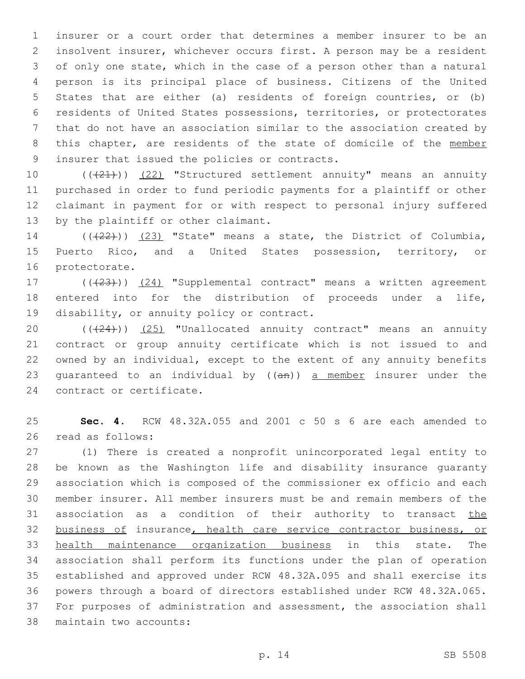insurer or a court order that determines a member insurer to be an insolvent insurer, whichever occurs first. A person may be a resident of only one state, which in the case of a person other than a natural person is its principal place of business. Citizens of the United States that are either (a) residents of foreign countries, or (b) residents of United States possessions, territories, or protectorates that do not have an association similar to the association created by 8 this chapter, are residents of the state of domicile of the member 9 insurer that issued the policies or contracts.

10 (((21))) (22) "Structured settlement annuity" means an annuity purchased in order to fund periodic payments for a plaintiff or other claimant in payment for or with respect to personal injury suffered 13 by the plaintiff or other claimant.

14  $((+22))$   $(23)$  "State" means a state, the District of Columbia, Puerto Rico, and a United States possession, territory, or 16 protectorate.

17 (((23))) (24) "Supplemental contract" means a written agreement entered into for the distribution of proceeds under a life, 19 disability, or annuity policy or contract.

20 (((24))) (25) "Unallocated annuity contract" means an annuity contract or group annuity certificate which is not issued to and owned by an individual, except to the extent of any annuity benefits 23 quaranteed to an individual by  $((an))$  a member insurer under the 24 contract or certificate.

 **Sec. 4.** RCW 48.32A.055 and 2001 c 50 s 6 are each amended to read as follows:26

 (1) There is created a nonprofit unincorporated legal entity to be known as the Washington life and disability insurance guaranty association which is composed of the commissioner ex officio and each member insurer. All member insurers must be and remain members of the 31 association as a condition of their authority to transact the business of insurance, health care service contractor business, or health maintenance organization business in this state. The association shall perform its functions under the plan of operation established and approved under RCW 48.32A.095 and shall exercise its powers through a board of directors established under RCW 48.32A.065. For purposes of administration and assessment, the association shall 38 maintain two accounts: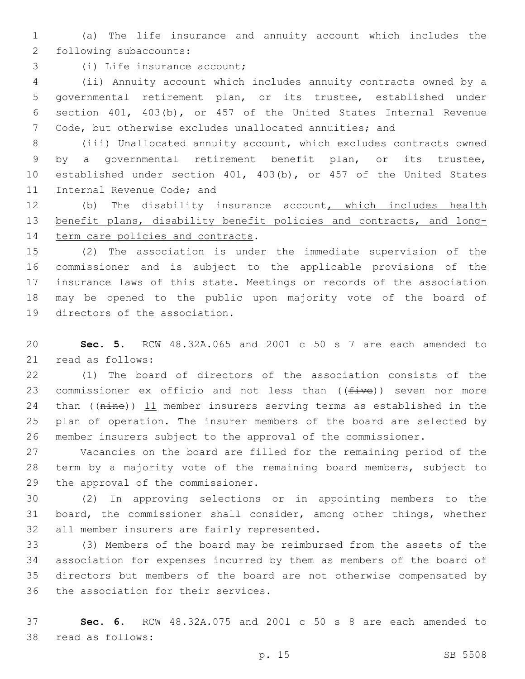(a) The life insurance and annuity account which includes the 2 following subaccounts:

3 (i) Life insurance account;

 (ii) Annuity account which includes annuity contracts owned by a governmental retirement plan, or its trustee, established under section 401, 403(b), or 457 of the United States Internal Revenue Code, but otherwise excludes unallocated annuities; and

 (iii) Unallocated annuity account, which excludes contracts owned by a governmental retirement benefit plan, or its trustee, established under section 401, 403(b), or 457 of the United States 11 Internal Revenue Code; and

 (b) The disability insurance account, which includes health benefit plans, disability benefit policies and contracts, and long-14 term care policies and contracts.

 (2) The association is under the immediate supervision of the commissioner and is subject to the applicable provisions of the insurance laws of this state. Meetings or records of the association may be opened to the public upon majority vote of the board of 19 directors of the association.

 **Sec. 5.** RCW 48.32A.065 and 2001 c 50 s 7 are each amended to 21 read as follows:

 (1) The board of directors of the association consists of the 23 commissioner ex officio and not less than  $((five))$  seven nor more 24 than ((nine)) 11 member insurers serving terms as established in the plan of operation. The insurer members of the board are selected by member insurers subject to the approval of the commissioner.

 Vacancies on the board are filled for the remaining period of the term by a majority vote of the remaining board members, subject to 29 the approval of the commissioner.

 (2) In approving selections or in appointing members to the board, the commissioner shall consider, among other things, whether 32 all member insurers are fairly represented.

 (3) Members of the board may be reimbursed from the assets of the association for expenses incurred by them as members of the board of directors but members of the board are not otherwise compensated by 36 the association for their services.

 **Sec. 6.** RCW 48.32A.075 and 2001 c 50 s 8 are each amended to 38 read as follows: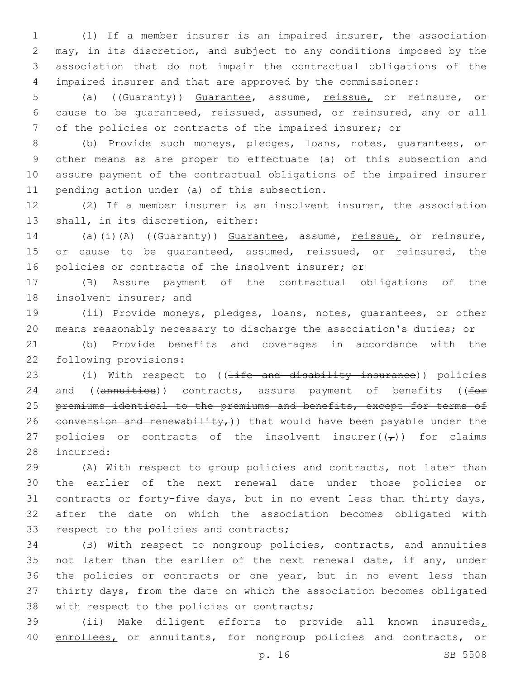(1) If a member insurer is an impaired insurer, the association may, in its discretion, and subject to any conditions imposed by the association that do not impair the contractual obligations of the impaired insurer and that are approved by the commissioner:

5 (a) ((Guaranty)) Guarantee, assume, reissue, or reinsure, or 6 cause to be guaranteed, reissued, assumed, or reinsured, any or all 7 of the policies or contracts of the impaired insurer; or

 (b) Provide such moneys, pledges, loans, notes, guarantees, or other means as are proper to effectuate (a) of this subsection and assure payment of the contractual obligations of the impaired insurer 11 pending action under (a) of this subsection.

12 (2) If a member insurer is an insolvent insurer, the association 13 shall, in its discretion, either:

14 (a)(i)(A) ((Guaranty)) Guarantee, assume, reissue, or reinsure, 15 or cause to be quaranteed, assumed, reissued, or reinsured, the 16 policies or contracts of the insolvent insurer; or

17 (B) Assure payment of the contractual obligations of the 18 insolvent insurer; and

19 (ii) Provide moneys, pledges, loans, notes, guarantees, or other 20 means reasonably necessary to discharge the association's duties; or

21 (b) Provide benefits and coverages in accordance with the 22 following provisions:

23 (i) With respect to ((<del>life and disability insurance</del>)) policies 24 and ((annuities)) contracts, assure payment of benefits ((for 25 premiums identical to the premiums and benefits, except for terms of 26 conversion and renewability,) that would have been payable under the 27 policies or contracts of the insolvent insurer( $(\tau)$ ) for claims 28 incurred:

 (A) With respect to group policies and contracts, not later than the earlier of the next renewal date under those policies or contracts or forty-five days, but in no event less than thirty days, after the date on which the association becomes obligated with 33 respect to the policies and contracts;

34 (B) With respect to nongroup policies, contracts, and annuities 35 not later than the earlier of the next renewal date, if any, under 36 the policies or contracts or one year, but in no event less than 37 thirty days, from the date on which the association becomes obligated 38 with respect to the policies or contracts;

39 (ii) Make diligent efforts to provide all known insureds, 40 enrollees, or annuitants, for nongroup policies and contracts, or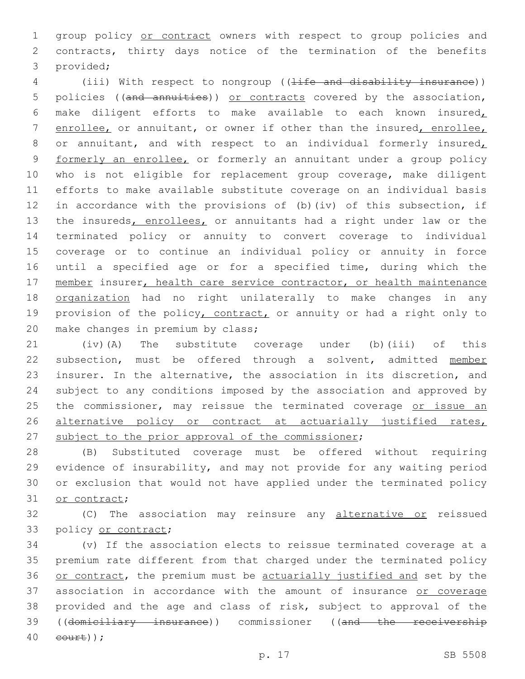group policy or contract owners with respect to group policies and contracts, thirty days notice of the termination of the benefits 3 provided;

4 (iii) With respect to nongroup ((<del>life and disability insurance</del>)) 5 policies ((and annuities)) or contracts covered by the association, make diligent efforts to make available to each known insured, enrollee, or annuitant, or owner if other than the insured, enrollee, 8 or annuitant, and with respect to an individual formerly insured, formerly an enrollee, or formerly an annuitant under a group policy who is not eligible for replacement group coverage, make diligent efforts to make available substitute coverage on an individual basis in accordance with the provisions of (b)(iv) of this subsection, if 13 the insureds, enrollees, or annuitants had a right under law or the terminated policy or annuity to convert coverage to individual coverage or to continue an individual policy or annuity in force until a specified age or for a specified time, during which the 17 member insurer, health care service contractor, or health maintenance organization had no right unilaterally to make changes in any 19 provision of the policy, contract, or annuity or had a right only to 20 make changes in premium by class;

 (iv)(A) The substitute coverage under (b)(iii) of this subsection, must be offered through a solvent, admitted member insurer. In the alternative, the association in its discretion, and subject to any conditions imposed by the association and approved by 25 the commissioner, may reissue the terminated coverage or issue an 26 alternative policy or contract at actuarially justified rates, 27 subject to the prior approval of the commissioner;

 (B) Substituted coverage must be offered without requiring evidence of insurability, and may not provide for any waiting period or exclusion that would not have applied under the terminated policy 31 or contract;

32 (C) The association may reinsure any alternative or reissued 33 policy or contract;

 (v) If the association elects to reissue terminated coverage at a premium rate different from that charged under the terminated policy or contract, the premium must be actuarially justified and set by the association in accordance with the amount of insurance or coverage provided and the age and class of risk, subject to approval of the 39 ((domiciliary insurance)) commissioner ((and the receivership eourt));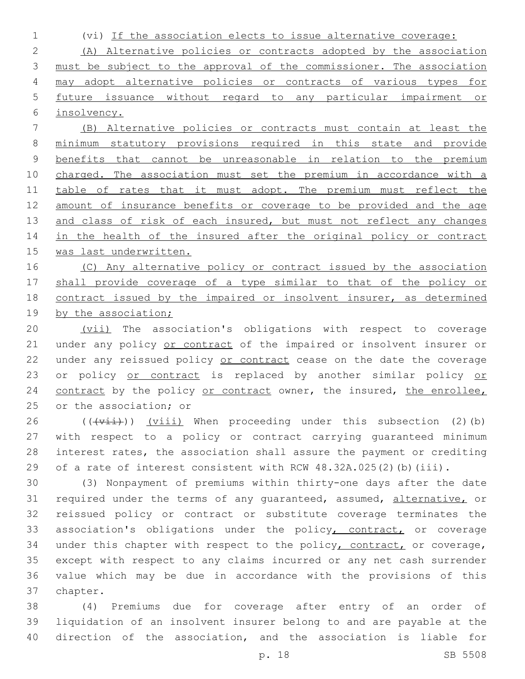1 (vi) If the association elects to issue alternative coverage:

 (A) Alternative policies or contracts adopted by the association must be subject to the approval of the commissioner. The association may adopt alternative policies or contracts of various types for future issuance without regard to any particular impairment or insolvency.

7 (B) Alternative policies or contracts must contain at least the 8 minimum statutory provisions required in this state and provide 9 benefits that cannot be unreasonable in relation to the premium 10 charged. The association must set the premium in accordance with a 11 table of rates that it must adopt. The premium must reflect the 12 amount of insurance benefits or coverage to be provided and the age 13 and class of risk of each insured, but must not reflect any changes 14 in the health of the insured after the original policy or contract 15 was last underwritten.

16 (C) Any alternative policy or contract issued by the association 17 shall provide coverage of a type similar to that of the policy or 18 contract issued by the impaired or insolvent insurer, as determined 19 by the association;

20 (vii) The association's obligations with respect to coverage 21 under any policy or contract of the impaired or insolvent insurer or 22 under any reissued policy or contract cease on the date the coverage 23 or policy or contract is replaced by another similar policy or 24 contract by the policy or contract owner, the insured, the enrollee, 25 or the association; or

 ( $(\overrightarrow{vii})$ ) (viii) When proceeding under this subsection (2)(b) with respect to a policy or contract carrying guaranteed minimum interest rates, the association shall assure the payment or crediting 29 of a rate of interest consistent with RCW 48.32A.025(2)(b)(iii).

30 (3) Nonpayment of premiums within thirty-one days after the date 31 required under the terms of any quaranteed, assumed, alternative, or 32 reissued policy or contract or substitute coverage terminates the 33 association's obligations under the policy, contract, or coverage 34 under this chapter with respect to the policy, contract, or coverage, 35 except with respect to any claims incurred or any net cash surrender 36 value which may be due in accordance with the provisions of this 37 chapter.

38 (4) Premiums due for coverage after entry of an order of 39 liquidation of an insolvent insurer belong to and are payable at the 40 direction of the association, and the association is liable for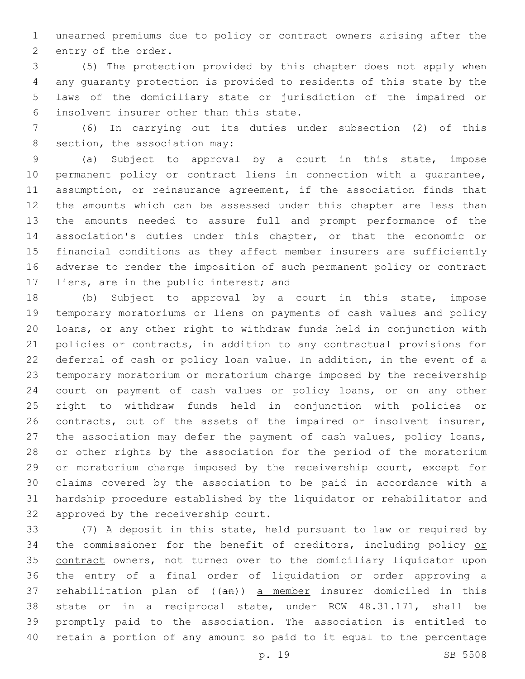unearned premiums due to policy or contract owners arising after the 2 entry of the order.

 (5) The protection provided by this chapter does not apply when any guaranty protection is provided to residents of this state by the laws of the domiciliary state or jurisdiction of the impaired or insolvent insurer other than this state.6

 (6) In carrying out its duties under subsection (2) of this 8 section, the association may:

 (a) Subject to approval by a court in this state, impose permanent policy or contract liens in connection with a guarantee, assumption, or reinsurance agreement, if the association finds that the amounts which can be assessed under this chapter are less than the amounts needed to assure full and prompt performance of the association's duties under this chapter, or that the economic or financial conditions as they affect member insurers are sufficiently adverse to render the imposition of such permanent policy or contract 17 liens, are in the public interest; and

 (b) Subject to approval by a court in this state, impose temporary moratoriums or liens on payments of cash values and policy loans, or any other right to withdraw funds held in conjunction with policies or contracts, in addition to any contractual provisions for deferral of cash or policy loan value. In addition, in the event of a temporary moratorium or moratorium charge imposed by the receivership court on payment of cash values or policy loans, or on any other right to withdraw funds held in conjunction with policies or contracts, out of the assets of the impaired or insolvent insurer, the association may defer the payment of cash values, policy loans, or other rights by the association for the period of the moratorium or moratorium charge imposed by the receivership court, except for claims covered by the association to be paid in accordance with a hardship procedure established by the liquidator or rehabilitator and 32 approved by the receivership court.

 (7) A deposit in this state, held pursuant to law or required by 34 the commissioner for the benefit of creditors, including policy or contract owners, not turned over to the domiciliary liquidator upon the entry of a final order of liquidation or order approving a 37 rehabilitation plan of  $((an))$  a member insurer domiciled in this state or in a reciprocal state, under RCW 48.31.171, shall be promptly paid to the association. The association is entitled to retain a portion of any amount so paid to it equal to the percentage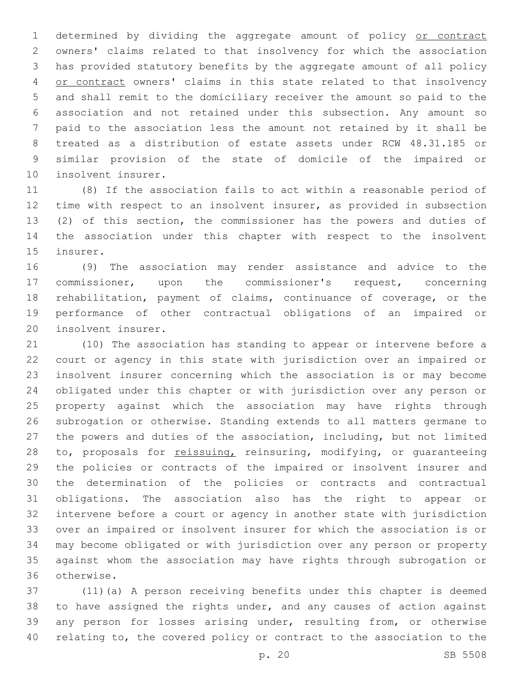1 determined by dividing the aggregate amount of policy or contract owners' claims related to that insolvency for which the association has provided statutory benefits by the aggregate amount of all policy 4 or contract owners' claims in this state related to that insolvency and shall remit to the domiciliary receiver the amount so paid to the association and not retained under this subsection. Any amount so paid to the association less the amount not retained by it shall be treated as a distribution of estate assets under RCW 48.31.185 or similar provision of the state of domicile of the impaired or 10 insolvent insurer.

 (8) If the association fails to act within a reasonable period of time with respect to an insolvent insurer, as provided in subsection (2) of this section, the commissioner has the powers and duties of the association under this chapter with respect to the insolvent 15 insurer.

 (9) The association may render assistance and advice to the commissioner, upon the commissioner's request, concerning rehabilitation, payment of claims, continuance of coverage, or the performance of other contractual obligations of an impaired or 20 insolvent insurer.

 (10) The association has standing to appear or intervene before a court or agency in this state with jurisdiction over an impaired or insolvent insurer concerning which the association is or may become obligated under this chapter or with jurisdiction over any person or property against which the association may have rights through subrogation or otherwise. Standing extends to all matters germane to the powers and duties of the association, including, but not limited 28 to, proposals for reissuing, reinsuring, modifying, or quaranteeing the policies or contracts of the impaired or insolvent insurer and 30 the determination of the policies or contracts and contractual obligations. The association also has the right to appear or intervene before a court or agency in another state with jurisdiction over an impaired or insolvent insurer for which the association is or may become obligated or with jurisdiction over any person or property against whom the association may have rights through subrogation or otherwise.36

 (11)(a) A person receiving benefits under this chapter is deemed to have assigned the rights under, and any causes of action against any person for losses arising under, resulting from, or otherwise relating to, the covered policy or contract to the association to the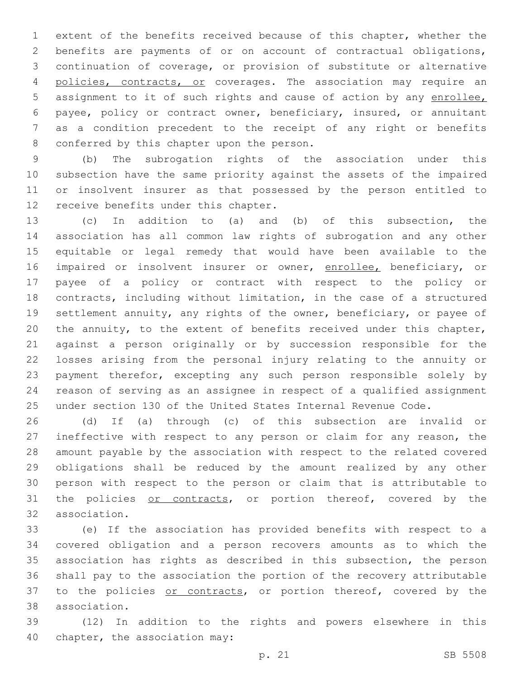extent of the benefits received because of this chapter, whether the benefits are payments of or on account of contractual obligations, continuation of coverage, or provision of substitute or alternative 4 policies, contracts, or coverages. The association may require an assignment to it of such rights and cause of action by any enrollee, payee, policy or contract owner, beneficiary, insured, or annuitant as a condition precedent to the receipt of any right or benefits 8 conferred by this chapter upon the person.

 (b) The subrogation rights of the association under this subsection have the same priority against the assets of the impaired or insolvent insurer as that possessed by the person entitled to 12 receive benefits under this chapter.

 (c) In addition to (a) and (b) of this subsection, the association has all common law rights of subrogation and any other equitable or legal remedy that would have been available to the 16 impaired or insolvent insurer or owner, enrollee, beneficiary, or payee of a policy or contract with respect to the policy or contracts, including without limitation, in the case of a structured settlement annuity, any rights of the owner, beneficiary, or payee of the annuity, to the extent of benefits received under this chapter, against a person originally or by succession responsible for the losses arising from the personal injury relating to the annuity or payment therefor, excepting any such person responsible solely by reason of serving as an assignee in respect of a qualified assignment under section 130 of the United States Internal Revenue Code.

 (d) If (a) through (c) of this subsection are invalid or ineffective with respect to any person or claim for any reason, the amount payable by the association with respect to the related covered obligations shall be reduced by the amount realized by any other person with respect to the person or claim that is attributable to 31 the policies or contracts, or portion thereof, covered by the 32 association.

 (e) If the association has provided benefits with respect to a covered obligation and a person recovers amounts as to which the association has rights as described in this subsection, the person shall pay to the association the portion of the recovery attributable 37 to the policies or contracts, or portion thereof, covered by the association.38

 (12) In addition to the rights and powers elsewhere in this 40 chapter, the association may: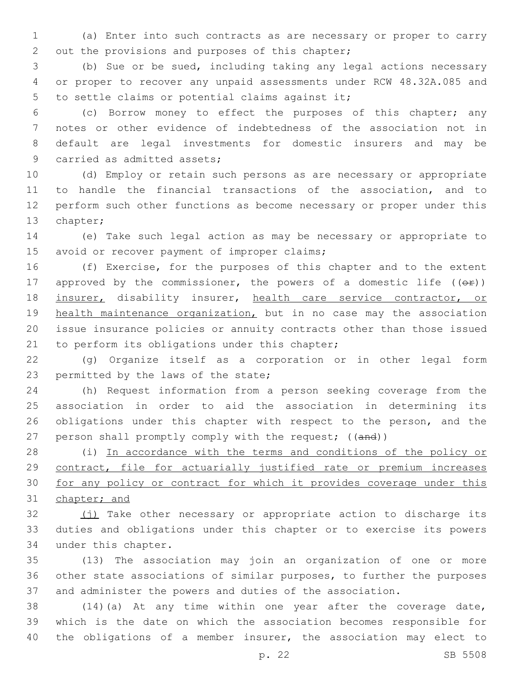(a) Enter into such contracts as are necessary or proper to carry 2 out the provisions and purposes of this chapter;

 (b) Sue or be sued, including taking any legal actions necessary or proper to recover any unpaid assessments under RCW 48.32A.085 and 5 to settle claims or potential claims against it;

 (c) Borrow money to effect the purposes of this chapter; any notes or other evidence of indebtedness of the association not in default are legal investments for domestic insurers and may be 9 carried as admitted assets;

 (d) Employ or retain such persons as are necessary or appropriate to handle the financial transactions of the association, and to perform such other functions as become necessary or proper under this 13 chapter;

 (e) Take such legal action as may be necessary or appropriate to 15 avoid or recover payment of improper claims;

 (f) Exercise, for the purposes of this chapter and to the extent 17 approved by the commissioner, the powers of a domestic life  $((\theta \cdot \hat{r}))$ 18 insurer, disability insurer, health care service contractor, or health maintenance organization, but in no case may the association issue insurance policies or annuity contracts other than those issued 21 to perform its obligations under this chapter;

 (g) Organize itself as a corporation or in other legal form 23 permitted by the laws of the state;

 (h) Request information from a person seeking coverage from the association in order to aid the association in determining its 26 obligations under this chapter with respect to the person, and the 27 person shall promptly comply with the request; ((and))

 (i) In accordance with the terms and conditions of the policy or 29 contract, file for actuarially justified rate or premium increases for any policy or contract for which it provides coverage under this chapter; and

32 (j) Take other necessary or appropriate action to discharge its duties and obligations under this chapter or to exercise its powers 34 under this chapter.

 (13) The association may join an organization of one or more other state associations of similar purposes, to further the purposes and administer the powers and duties of the association.

 (14)(a) At any time within one year after the coverage date, which is the date on which the association becomes responsible for 40 the obligations of a member insurer, the association may elect to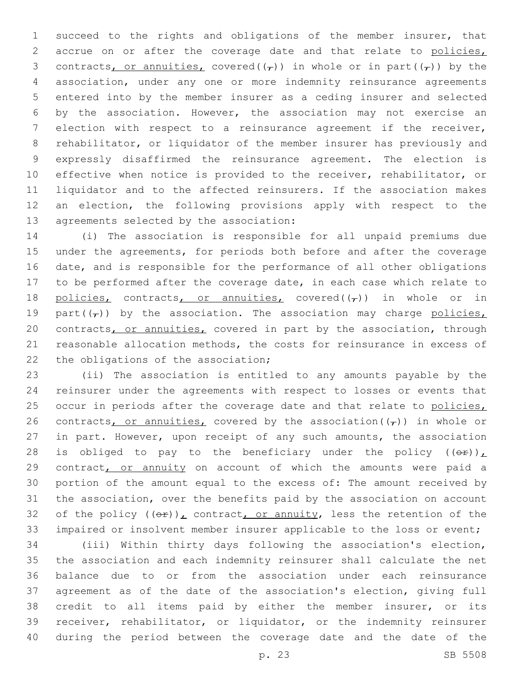succeed to the rights and obligations of the member insurer, that 2 accrue on or after the coverage date and that relate to policies, 3 contracts, or annuities, covered( $(\tau)$ ) in whole or in part( $(\tau)$ ) by the association, under any one or more indemnity reinsurance agreements entered into by the member insurer as a ceding insurer and selected by the association. However, the association may not exercise an election with respect to a reinsurance agreement if the receiver, rehabilitator, or liquidator of the member insurer has previously and expressly disaffirmed the reinsurance agreement. The election is effective when notice is provided to the receiver, rehabilitator, or liquidator and to the affected reinsurers. If the association makes an election, the following provisions apply with respect to the 13 agreements selected by the association:

 (i) The association is responsible for all unpaid premiums due under the agreements, for periods both before and after the coverage date, and is responsible for the performance of all other obligations to be performed after the coverage date, in each case which relate to 18 policies, contracts, or annuities, covered( $(\tau)$ ) in whole or in 19 part( $(\tau)$ ) by the association. The association may charge policies, 20 contracts, or annuities, covered in part by the association, through reasonable allocation methods, the costs for reinsurance in excess of 22 the obligations of the association;

 (ii) The association is entitled to any amounts payable by the reinsurer under the agreements with respect to losses or events that 25 occur in periods after the coverage date and that relate to policies, 26 contracts, or annuities, covered by the association  $(\tau)$ ) in whole or in part. However, upon receipt of any such amounts, the association 28 is obliged to pay to the beneficiary under the policy  $((\theta \cdot \hat{r}))$ 29 contract, or annuity on account of which the amounts were paid a portion of the amount equal to the excess of: The amount received by the association, over the benefits paid by the association on account 32 of the policy  $((e^E))^L$  contract, or annuity, less the retention of the impaired or insolvent member insurer applicable to the loss or event;

 (iii) Within thirty days following the association's election, the association and each indemnity reinsurer shall calculate the net balance due to or from the association under each reinsurance agreement as of the date of the association's election, giving full credit to all items paid by either the member insurer, or its receiver, rehabilitator, or liquidator, or the indemnity reinsurer during the period between the coverage date and the date of the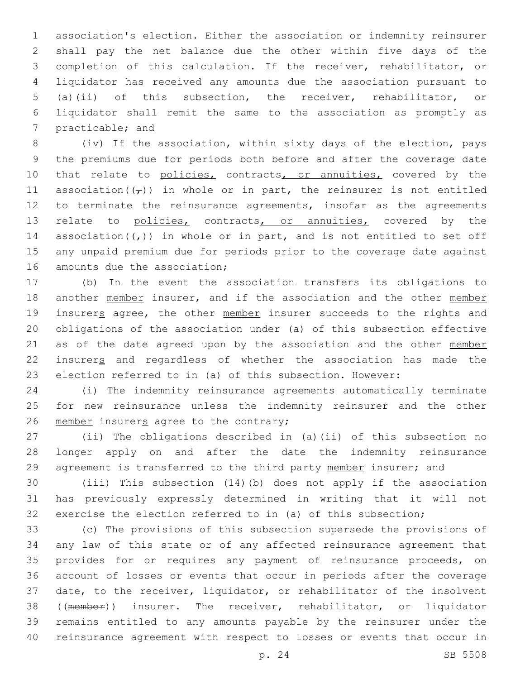association's election. Either the association or indemnity reinsurer shall pay the net balance due the other within five days of the completion of this calculation. If the receiver, rehabilitator, or liquidator has received any amounts due the association pursuant to (a)(ii) of this subsection, the receiver, rehabilitator, or liquidator shall remit the same to the association as promptly as 7 practicable; and

 (iv) If the association, within sixty days of the election, pays the premiums due for periods both before and after the coverage date 10 that relate to policies, contracts, or annuities, covered by the 11 association( $(\tau)$ ) in whole or in part, the reinsurer is not entitled 12 to terminate the reinsurance agreements, insofar as the agreements 13 relate to policies, contracts, or annuities, covered by the 14 association( $(\tau)$ ) in whole or in part, and is not entitled to set off any unpaid premium due for periods prior to the coverage date against 16 amounts due the association;

 (b) In the event the association transfers its obligations to 18 another member insurer, and if the association and the other member 19 insurers agree, the other member insurer succeeds to the rights and obligations of the association under (a) of this subsection effective as of the date agreed upon by the association and the other member insurers and regardless of whether the association has made the election referred to in (a) of this subsection. However:

 (i) The indemnity reinsurance agreements automatically terminate for new reinsurance unless the indemnity reinsurer and the other 26 member insurers agree to the contrary;

 (ii) The obligations described in (a)(ii) of this subsection no longer apply on and after the date the indemnity reinsurance agreement is transferred to the third party member insurer; and

 (iii) This subsection (14)(b) does not apply if the association has previously expressly determined in writing that it will not exercise the election referred to in (a) of this subsection;

 (c) The provisions of this subsection supersede the provisions of any law of this state or of any affected reinsurance agreement that provides for or requires any payment of reinsurance proceeds, on account of losses or events that occur in periods after the coverage date, to the receiver, liquidator, or rehabilitator of the insolvent ((member)) insurer. The receiver, rehabilitator, or liquidator remains entitled to any amounts payable by the reinsurer under the reinsurance agreement with respect to losses or events that occur in

p. 24 SB 5508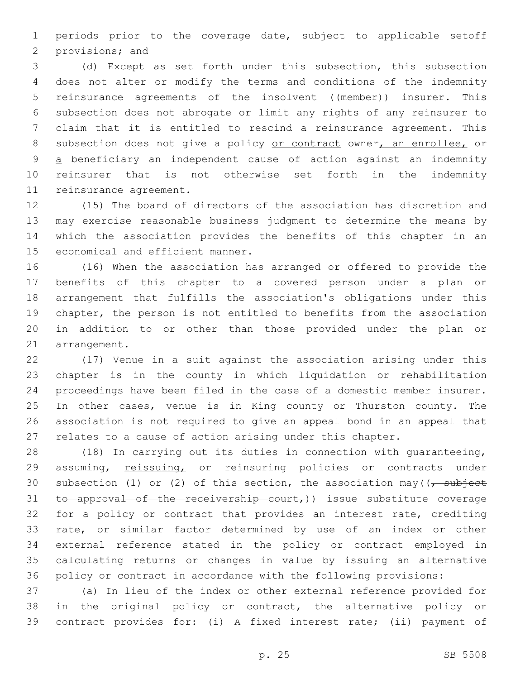periods prior to the coverage date, subject to applicable setoff 2 provisions; and

 (d) Except as set forth under this subsection, this subsection does not alter or modify the terms and conditions of the indemnity reinsurance agreements of the insolvent ((member)) insurer. This subsection does not abrogate or limit any rights of any reinsurer to claim that it is entitled to rescind a reinsurance agreement. This 8 subsection does not give a policy or contract owner, an enrollee, or a beneficiary an independent cause of action against an indemnity reinsurer that is not otherwise set forth in the indemnity 11 reinsurance agreement.

 (15) The board of directors of the association has discretion and may exercise reasonable business judgment to determine the means by which the association provides the benefits of this chapter in an 15 economical and efficient manner.

 (16) When the association has arranged or offered to provide the benefits of this chapter to a covered person under a plan or arrangement that fulfills the association's obligations under this chapter, the person is not entitled to benefits from the association in addition to or other than those provided under the plan or 21 arrangement.

 (17) Venue in a suit against the association arising under this chapter is in the county in which liquidation or rehabilitation 24 proceedings have been filed in the case of a domestic member insurer. In other cases, venue is in King county or Thurston county. The association is not required to give an appeal bond in an appeal that relates to a cause of action arising under this chapter.

 (18) In carrying out its duties in connection with guaranteeing, 29 assuming, reissuing, or reinsuring policies or contracts under 30 subsection (1) or (2) of this section, the association may  $\left(\frac{1}{\epsilon}, \frac{1}{\epsilon}\right)$ 31 to approval of the receivership court,)) issue substitute coverage 32 for a policy or contract that provides an interest rate, crediting rate, or similar factor determined by use of an index or other external reference stated in the policy or contract employed in calculating returns or changes in value by issuing an alternative policy or contract in accordance with the following provisions:

 (a) In lieu of the index or other external reference provided for in the original policy or contract, the alternative policy or contract provides for: (i) A fixed interest rate; (ii) payment of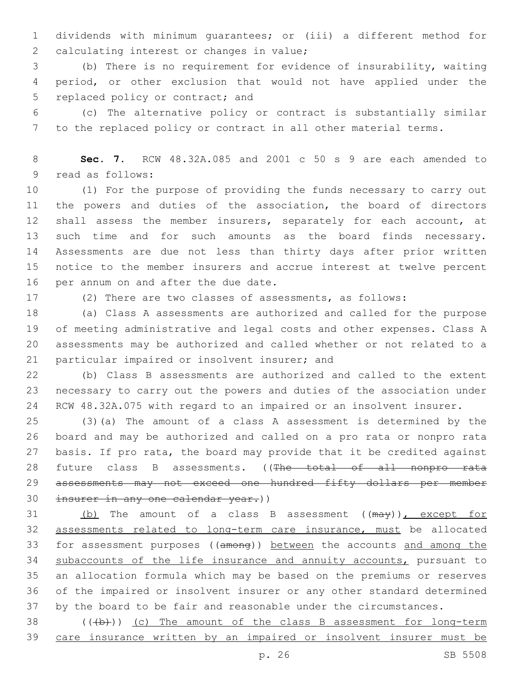dividends with minimum guarantees; or (iii) a different method for 2 calculating interest or changes in value;

 (b) There is no requirement for evidence of insurability, waiting period, or other exclusion that would not have applied under the 5 replaced policy or contract; and

 (c) The alternative policy or contract is substantially similar to the replaced policy or contract in all other material terms.

 **Sec. 7.** RCW 48.32A.085 and 2001 c 50 s 9 are each amended to 9 read as follows:

 (1) For the purpose of providing the funds necessary to carry out the powers and duties of the association, the board of directors shall assess the member insurers, separately for each account, at such time and for such amounts as the board finds necessary. Assessments are due not less than thirty days after prior written notice to the member insurers and accrue interest at twelve percent 16 per annum on and after the due date.

(2) There are two classes of assessments, as follows:

 (a) Class A assessments are authorized and called for the purpose of meeting administrative and legal costs and other expenses. Class A assessments may be authorized and called whether or not related to a 21 particular impaired or insolvent insurer; and

 (b) Class B assessments are authorized and called to the extent necessary to carry out the powers and duties of the association under RCW 48.32A.075 with regard to an impaired or an insolvent insurer.

 (3)(a) The amount of a class A assessment is determined by the board and may be authorized and called on a pro rata or nonpro rata basis. If pro rata, the board may provide that it be credited against 28 future class B assessments. ((The total of all nonpro rata 29 assessments may not exceed one hundred fifty dollars per member 30 insurer in any one calendar year.))

31 (b) The amount of a class B assessment ((may)), except for assessments related to long-term care insurance, must be allocated for assessment purposes ((among)) between the accounts and among the 34 subaccounts of the life insurance and annuity accounts, pursuant to an allocation formula which may be based on the premiums or reserves of the impaired or insolvent insurer or any other standard determined by the board to be fair and reasonable under the circumstances.

 ( $(\frac{1}{2})$ ) (c) The amount of the class B assessment for long-term care insurance written by an impaired or insolvent insurer must be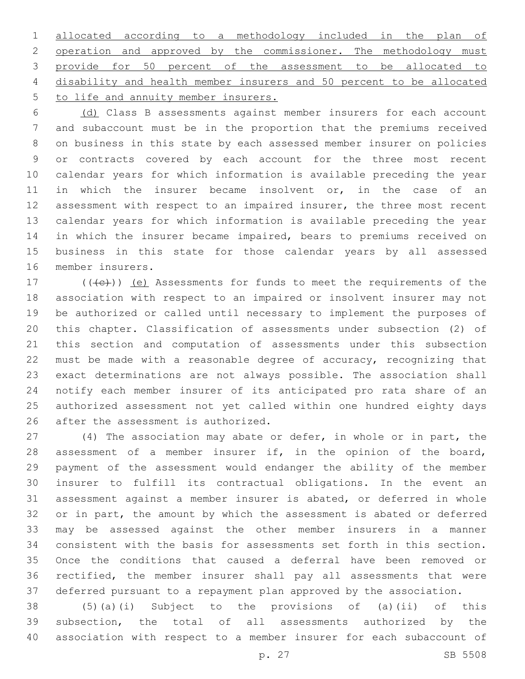allocated according to a methodology included in the plan of 2 operation and approved by the commissioner. The methodology must provide for 50 percent of the assessment to be allocated to disability and health member insurers and 50 percent to be allocated 5 to life and annuity member insurers.

 (d) Class B assessments against member insurers for each account and subaccount must be in the proportion that the premiums received on business in this state by each assessed member insurer on policies or contracts covered by each account for the three most recent calendar years for which information is available preceding the year in which the insurer became insolvent or, in the case of an 12 assessment with respect to an impaired insurer, the three most recent calendar years for which information is available preceding the year in which the insurer became impaired, bears to premiums received on business in this state for those calendar years by all assessed 16 member insurers.

 $(17$  ( $(\overline{\left\langle e\right\rangle})$ ) (e) Assessments for funds to meet the requirements of the association with respect to an impaired or insolvent insurer may not be authorized or called until necessary to implement the purposes of this chapter. Classification of assessments under subsection (2) of this section and computation of assessments under this subsection must be made with a reasonable degree of accuracy, recognizing that exact determinations are not always possible. The association shall notify each member insurer of its anticipated pro rata share of an authorized assessment not yet called within one hundred eighty days 26 after the assessment is authorized.

 (4) The association may abate or defer, in whole or in part, the assessment of a member insurer if, in the opinion of the board, payment of the assessment would endanger the ability of the member insurer to fulfill its contractual obligations. In the event an assessment against a member insurer is abated, or deferred in whole or in part, the amount by which the assessment is abated or deferred may be assessed against the other member insurers in a manner consistent with the basis for assessments set forth in this section. Once the conditions that caused a deferral have been removed or rectified, the member insurer shall pay all assessments that were deferred pursuant to a repayment plan approved by the association.

 (5)(a)(i) Subject to the provisions of (a)(ii) of this subsection, the total of all assessments authorized by the association with respect to a member insurer for each subaccount of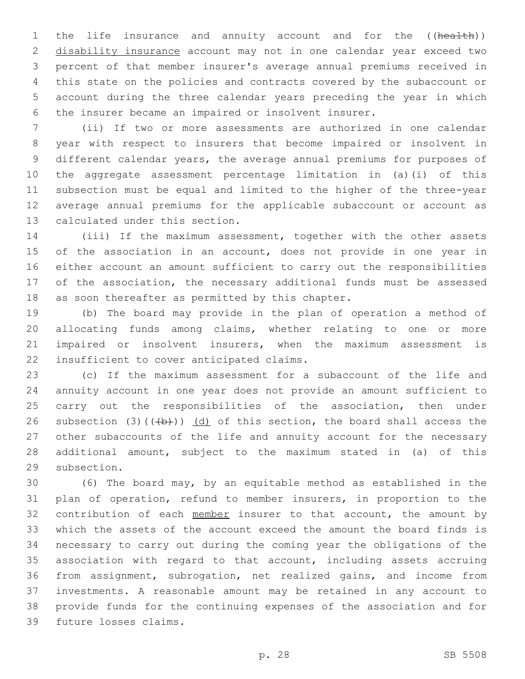1 the life insurance and annuity account and for the ((health)) disability insurance account may not in one calendar year exceed two percent of that member insurer's average annual premiums received in this state on the policies and contracts covered by the subaccount or account during the three calendar years preceding the year in which the insurer became an impaired or insolvent insurer.

 (ii) If two or more assessments are authorized in one calendar year with respect to insurers that become impaired or insolvent in different calendar years, the average annual premiums for purposes of the aggregate assessment percentage limitation in (a)(i) of this subsection must be equal and limited to the higher of the three-year average annual premiums for the applicable subaccount or account as 13 calculated under this section.

 (iii) If the maximum assessment, together with the other assets 15 of the association in an account, does not provide in one year in either account an amount sufficient to carry out the responsibilities of the association, the necessary additional funds must be assessed 18 as soon thereafter as permitted by this chapter.

 (b) The board may provide in the plan of operation a method of allocating funds among claims, whether relating to one or more impaired or insolvent insurers, when the maximum assessment is 22 insufficient to cover anticipated claims.

 (c) If the maximum assessment for a subaccount of the life and annuity account in one year does not provide an amount sufficient to 25 carry out the responsibilities of the association, then under 26 subsection (3)( $(\frac{1}{2})$ ) (d) of this section, the board shall access the other subaccounts of the life and annuity account for the necessary additional amount, subject to the maximum stated in (a) of this 29 subsection.

 (6) The board may, by an equitable method as established in the plan of operation, refund to member insurers, in proportion to the 32 contribution of each member insurer to that account, the amount by which the assets of the account exceed the amount the board finds is necessary to carry out during the coming year the obligations of the association with regard to that account, including assets accruing from assignment, subrogation, net realized gains, and income from investments. A reasonable amount may be retained in any account to provide funds for the continuing expenses of the association and for 39 future losses claims.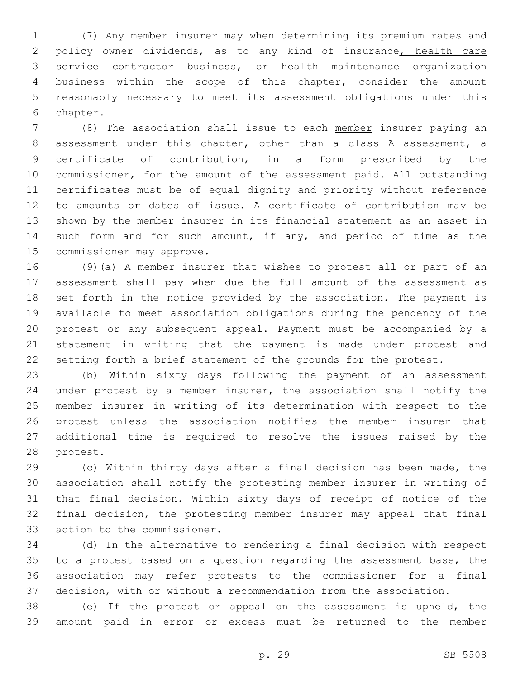(7) Any member insurer may when determining its premium rates and policy owner dividends, as to any kind of insurance, health care service contractor business, or health maintenance organization business within the scope of this chapter, consider the amount reasonably necessary to meet its assessment obligations under this 6 chapter.

 (8) The association shall issue to each member insurer paying an assessment under this chapter, other than a class A assessment, a certificate of contribution, in a form prescribed by the commissioner, for the amount of the assessment paid. All outstanding certificates must be of equal dignity and priority without reference to amounts or dates of issue. A certificate of contribution may be 13 shown by the member insurer in its financial statement as an asset in such form and for such amount, if any, and period of time as the 15 commissioner may approve.

 (9)(a) A member insurer that wishes to protest all or part of an assessment shall pay when due the full amount of the assessment as set forth in the notice provided by the association. The payment is available to meet association obligations during the pendency of the protest or any subsequent appeal. Payment must be accompanied by a statement in writing that the payment is made under protest and setting forth a brief statement of the grounds for the protest.

 (b) Within sixty days following the payment of an assessment under protest by a member insurer, the association shall notify the member insurer in writing of its determination with respect to the protest unless the association notifies the member insurer that additional time is required to resolve the issues raised by the 28 protest.

 (c) Within thirty days after a final decision has been made, the association shall notify the protesting member insurer in writing of that final decision. Within sixty days of receipt of notice of the final decision, the protesting member insurer may appeal that final 33 action to the commissioner.

 (d) In the alternative to rendering a final decision with respect to a protest based on a question regarding the assessment base, the association may refer protests to the commissioner for a final decision, with or without a recommendation from the association.

 (e) If the protest or appeal on the assessment is upheld, the amount paid in error or excess must be returned to the member

p. 29 SB 5508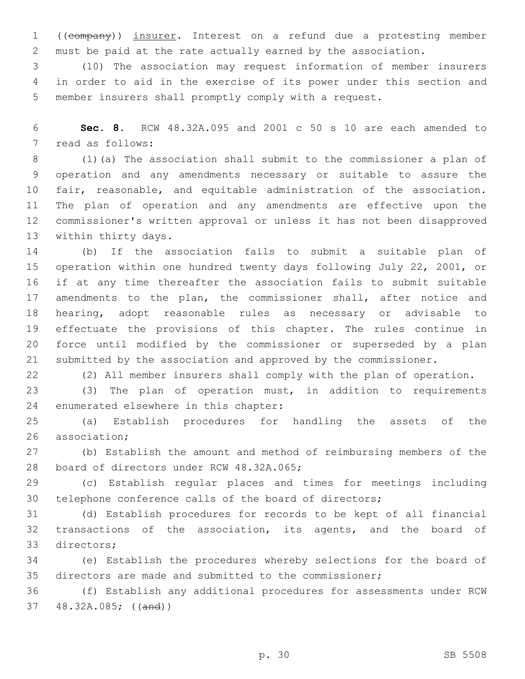((company)) insurer. Interest on a refund due a protesting member must be paid at the rate actually earned by the association.

 (10) The association may request information of member insurers in order to aid in the exercise of its power under this section and member insurers shall promptly comply with a request.

 **Sec. 8.** RCW 48.32A.095 and 2001 c 50 s 10 are each amended to 7 read as follows:

 (1)(a) The association shall submit to the commissioner a plan of operation and any amendments necessary or suitable to assure the fair, reasonable, and equitable administration of the association. The plan of operation and any amendments are effective upon the commissioner's written approval or unless it has not been disapproved 13 within thirty days.

 (b) If the association fails to submit a suitable plan of operation within one hundred twenty days following July 22, 2001, or if at any time thereafter the association fails to submit suitable amendments to the plan, the commissioner shall, after notice and hearing, adopt reasonable rules as necessary or advisable to effectuate the provisions of this chapter. The rules continue in force until modified by the commissioner or superseded by a plan submitted by the association and approved by the commissioner.

(2) All member insurers shall comply with the plan of operation.

 (3) The plan of operation must, in addition to requirements 24 enumerated elsewhere in this chapter:

 (a) Establish procedures for handling the assets of the 26 association;

 (b) Establish the amount and method of reimbursing members of the 28 board of directors under RCW 48.32A.065;

 (c) Establish regular places and times for meetings including telephone conference calls of the board of directors;

 (d) Establish procedures for records to be kept of all financial transactions of the association, its agents, and the board of 33 directors;

 (e) Establish the procedures whereby selections for the board of directors are made and submitted to the commissioner;

 (f) Establish any additional procedures for assessments under RCW 48.32A.085; ((and))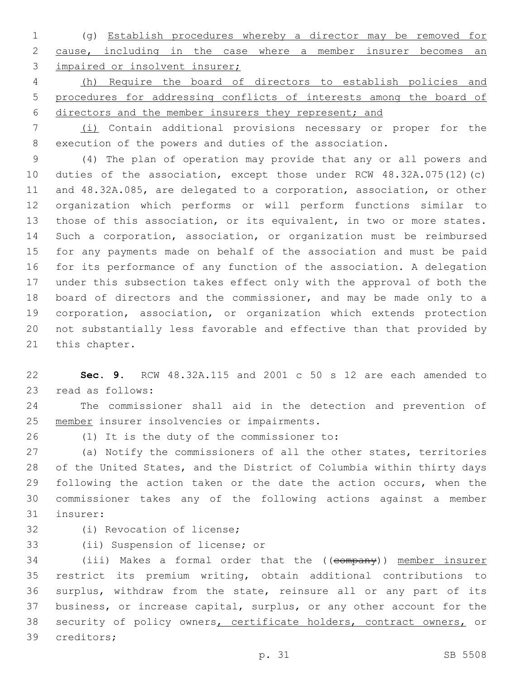(g) Establish procedures whereby a director may be removed for cause, including in the case where a member insurer becomes an 3 impaired or insolvent insurer;

 (h) Require the board of directors to establish policies and procedures for addressing conflicts of interests among the board of directors and the member insurers they represent; and

 (i) Contain additional provisions necessary or proper for the execution of the powers and duties of the association.

 (4) The plan of operation may provide that any or all powers and duties of the association, except those under RCW 48.32A.075(12)(c) and 48.32A.085, are delegated to a corporation, association, or other organization which performs or will perform functions similar to those of this association, or its equivalent, in two or more states. Such a corporation, association, or organization must be reimbursed for any payments made on behalf of the association and must be paid for its performance of any function of the association. A delegation under this subsection takes effect only with the approval of both the board of directors and the commissioner, and may be made only to a corporation, association, or organization which extends protection not substantially less favorable and effective than that provided by 21 this chapter.

 **Sec. 9.** RCW 48.32A.115 and 2001 c 50 s 12 are each amended to 23 read as follows:

 The commissioner shall aid in the detection and prevention of 25 member insurer insolvencies or impairments.

(1) It is the duty of the commissioner to:26

 (a) Notify the commissioners of all the other states, territories of the United States, and the District of Columbia within thirty days 29 following the action taken or the date the action occurs, when the commissioner takes any of the following actions against a member 31 insurer:

32 (i) Revocation of license;

33 (ii) Suspension of license; or

34 (iii) Makes a formal order that the ((company)) member insurer restrict its premium writing, obtain additional contributions to surplus, withdraw from the state, reinsure all or any part of its business, or increase capital, surplus, or any other account for the 38 security of policy owners, certificate holders, contract owners, or 39 creditors;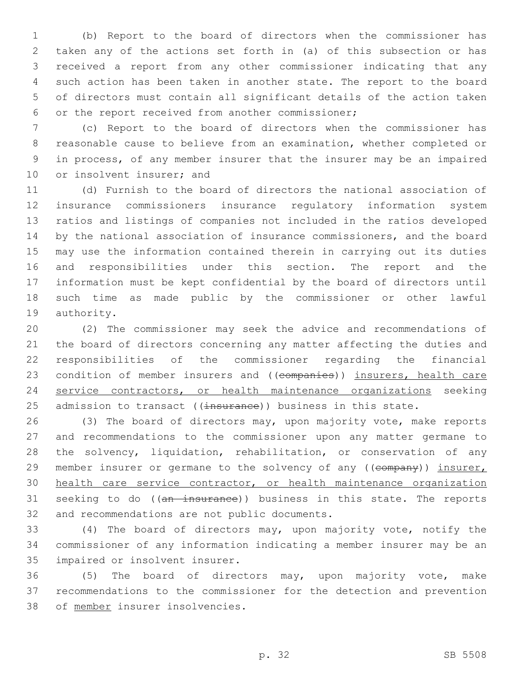(b) Report to the board of directors when the commissioner has taken any of the actions set forth in (a) of this subsection or has received a report from any other commissioner indicating that any such action has been taken in another state. The report to the board of directors must contain all significant details of the action taken 6 or the report received from another commissioner;

 (c) Report to the board of directors when the commissioner has reasonable cause to believe from an examination, whether completed or in process, of any member insurer that the insurer may be an impaired 10 or insolvent insurer; and

 (d) Furnish to the board of directors the national association of insurance commissioners insurance regulatory information system ratios and listings of companies not included in the ratios developed by the national association of insurance commissioners, and the board may use the information contained therein in carrying out its duties and responsibilities under this section. The report and the information must be kept confidential by the board of directors until such time as made public by the commissioner or other lawful 19 authority.

 (2) The commissioner may seek the advice and recommendations of the board of directors concerning any matter affecting the duties and responsibilities of the commissioner regarding the financial 23 condition of member insurers and ((companies)) insurers, health care service contractors, or health maintenance organizations seeking 25 admission to transact ((insurance)) business in this state.

 (3) The board of directors may, upon majority vote, make reports and recommendations to the commissioner upon any matter germane to the solvency, liquidation, rehabilitation, or conservation of any 29 member insurer or germane to the solvency of any ((company)) insurer, health care service contractor, or health maintenance organization 31 seeking to do ((an insurance)) business in this state. The reports 32 and recommendations are not public documents.

 (4) The board of directors may, upon majority vote, notify the commissioner of any information indicating a member insurer may be an 35 impaired or insolvent insurer.

 (5) The board of directors may, upon majority vote, make recommendations to the commissioner for the detection and prevention 38 of member insurer insolvencies.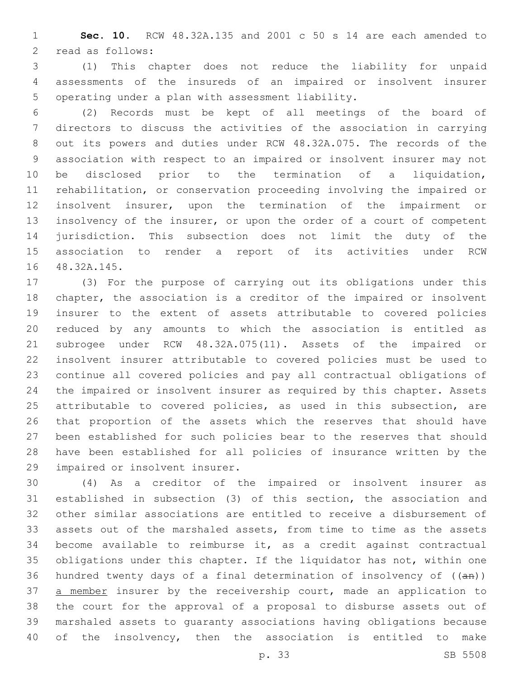**Sec. 10.** RCW 48.32A.135 and 2001 c 50 s 14 are each amended to 2 read as follows:

 (1) This chapter does not reduce the liability for unpaid assessments of the insureds of an impaired or insolvent insurer 5 operating under a plan with assessment liability.

 (2) Records must be kept of all meetings of the board of directors to discuss the activities of the association in carrying out its powers and duties under RCW 48.32A.075. The records of the association with respect to an impaired or insolvent insurer may not be disclosed prior to the termination of a liquidation, rehabilitation, or conservation proceeding involving the impaired or insolvent insurer, upon the termination of the impairment or insolvency of the insurer, or upon the order of a court of competent jurisdiction. This subsection does not limit the duty of the association to render a report of its activities under RCW 16 48.32A.145.

 (3) For the purpose of carrying out its obligations under this chapter, the association is a creditor of the impaired or insolvent insurer to the extent of assets attributable to covered policies reduced by any amounts to which the association is entitled as subrogee under RCW 48.32A.075(11). Assets of the impaired or insolvent insurer attributable to covered policies must be used to continue all covered policies and pay all contractual obligations of the impaired or insolvent insurer as required by this chapter. Assets attributable to covered policies, as used in this subsection, are that proportion of the assets which the reserves that should have been established for such policies bear to the reserves that should have been established for all policies of insurance written by the 29 impaired or insolvent insurer.

 (4) As a creditor of the impaired or insolvent insurer as established in subsection (3) of this section, the association and other similar associations are entitled to receive a disbursement of assets out of the marshaled assets, from time to time as the assets become available to reimburse it, as a credit against contractual obligations under this chapter. If the liquidator has not, within one 36 hundred twenty days of a final determination of insolvency of  $((an))$ 37 a member insurer by the receivership court, made an application to the court for the approval of a proposal to disburse assets out of marshaled assets to guaranty associations having obligations because of the insolvency, then the association is entitled to make

p. 33 SB 5508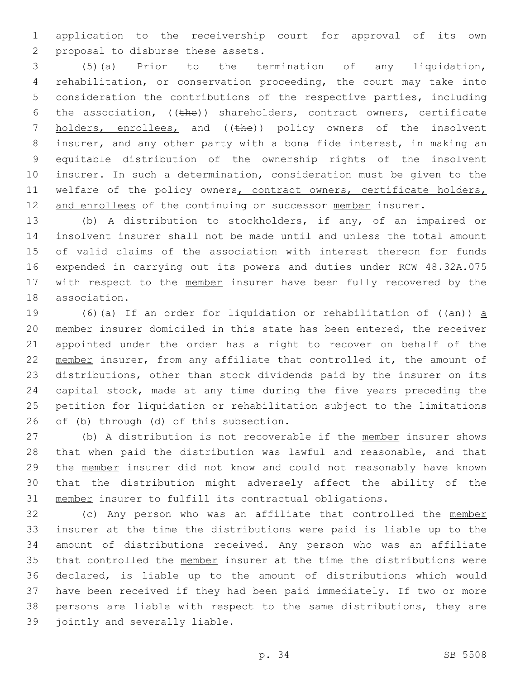application to the receivership court for approval of its own 2 proposal to disburse these assets.

 (5)(a) Prior to the termination of any liquidation, rehabilitation, or conservation proceeding, the court may take into consideration the contributions of the respective parties, including 6 the association,  $((the)$ ) shareholders, contract owners, certificate 7 holders, enrollees, and ((the)) policy owners of the insolvent insurer, and any other party with a bona fide interest, in making an equitable distribution of the ownership rights of the insolvent insurer. In such a determination, consideration must be given to the 11 welfare of the policy owners, contract owners, certificate holders, 12 and enrollees of the continuing or successor member insurer.

 (b) A distribution to stockholders, if any, of an impaired or insolvent insurer shall not be made until and unless the total amount of valid claims of the association with interest thereon for funds expended in carrying out its powers and duties under RCW 48.32A.075 17 with respect to the member insurer have been fully recovered by the 18 association.

19 (6)(a) If an order for liquidation or rehabilitation of  $((a + b))$  a member insurer domiciled in this state has been entered, the receiver appointed under the order has a right to recover on behalf of the 22 member insurer, from any affiliate that controlled it, the amount of distributions, other than stock dividends paid by the insurer on its capital stock, made at any time during the five years preceding the petition for liquidation or rehabilitation subject to the limitations 26 of (b) through (d) of this subsection.

27 (b) A distribution is not recoverable if the member insurer shows that when paid the distribution was lawful and reasonable, and that the member insurer did not know and could not reasonably have known that the distribution might adversely affect the ability of the member insurer to fulfill its contractual obligations.

 (c) Any person who was an affiliate that controlled the member insurer at the time the distributions were paid is liable up to the amount of distributions received. Any person who was an affiliate 35 that controlled the member insurer at the time the distributions were declared, is liable up to the amount of distributions which would have been received if they had been paid immediately. If two or more persons are liable with respect to the same distributions, they are 39 jointly and severally liable.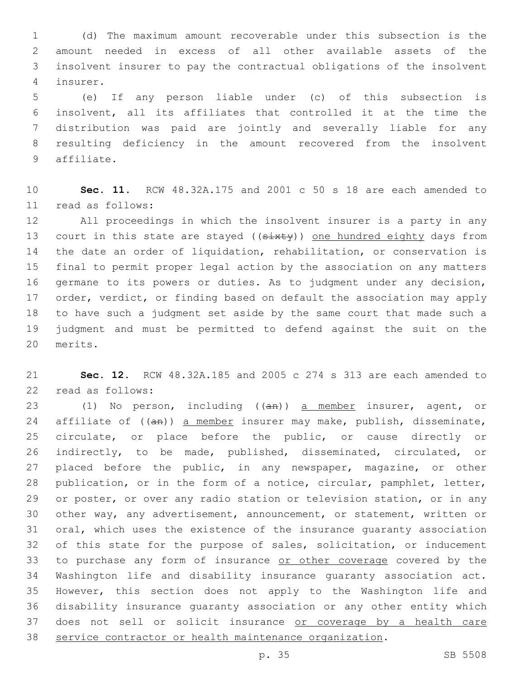(d) The maximum amount recoverable under this subsection is the amount needed in excess of all other available assets of the insolvent insurer to pay the contractual obligations of the insolvent insurer.4

 (e) If any person liable under (c) of this subsection is insolvent, all its affiliates that controlled it at the time the distribution was paid are jointly and severally liable for any resulting deficiency in the amount recovered from the insolvent 9 affiliate.

 **Sec. 11.** RCW 48.32A.175 and 2001 c 50 s 18 are each amended to read as follows:11

 All proceedings in which the insolvent insurer is a party in any 13 court in this state are stayed ((sixty)) one hundred eighty days from the date an order of liquidation, rehabilitation, or conservation is final to permit proper legal action by the association on any matters germane to its powers or duties. As to judgment under any decision, order, verdict, or finding based on default the association may apply to have such a judgment set aside by the same court that made such a judgment and must be permitted to defend against the suit on the 20 merits.

 **Sec. 12.** RCW 48.32A.185 and 2005 c 274 s 313 are each amended to 22 read as follows:

23 (1) No person, including ((an)) a member insurer, agent, or 24 affiliate of ((an)) a member insurer may make, publish, disseminate, circulate, or place before the public, or cause directly or indirectly, to be made, published, disseminated, circulated, or placed before the public, in any newspaper, magazine, or other publication, or in the form of a notice, circular, pamphlet, letter, or poster, or over any radio station or television station, or in any other way, any advertisement, announcement, or statement, written or oral, which uses the existence of the insurance guaranty association of this state for the purpose of sales, solicitation, or inducement 33 to purchase any form of insurance or other coverage covered by the Washington life and disability insurance guaranty association act. However, this section does not apply to the Washington life and disability insurance guaranty association or any other entity which 37 does not sell or solicit insurance or coverage by a health care service contractor or health maintenance organization.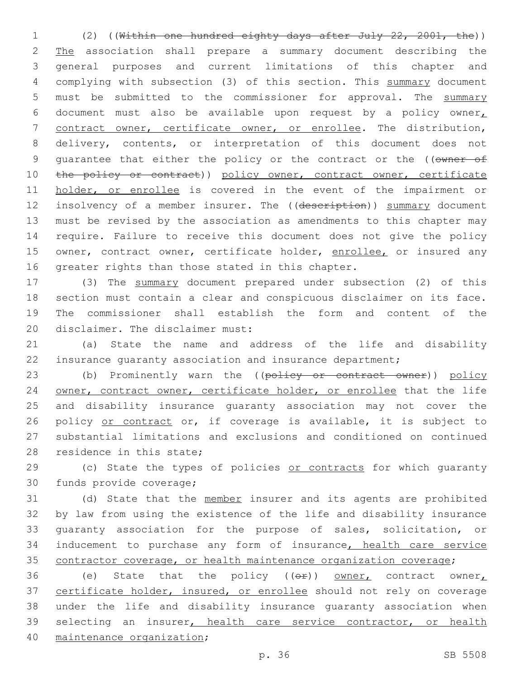1 (2) ((Within one hundred eighty days after July 22, 2001, the)) 2 The association shall prepare a summary document describing the 3 general purposes and current limitations of this chapter and 4 complying with subsection (3) of this section. This summary document 5 must be submitted to the commissioner for approval. The summary 6 document must also be available upon request by a policy owner 7 contract owner, certificate owner, or enrollee. The distribution, 8 delivery, contents, or interpretation of this document does not 9 quarantee that either the policy or the contract or the ((owner of 10 the policy or contract)) policy owner, contract owner, certificate 11 holder, or enrollee is covered in the event of the impairment or 12 insolvency of a member insurer. The ((description)) summary document 13 must be revised by the association as amendments to this chapter may 14 require. Failure to receive this document does not give the policy 15 owner, contract owner, certificate holder, enrollee, or insured any 16 greater rights than those stated in this chapter.

 (3) The summary document prepared under subsection (2) of this section must contain a clear and conspicuous disclaimer on its face. The commissioner shall establish the form and content of the 20 disclaimer. The disclaimer must:

21 (a) State the name and address of the life and disability 22 insurance guaranty association and insurance department;

23 (b) Prominently warn the ((policy or contract owner)) policy 24 owner, contract owner, certificate holder, or enrollee that the life 25 and disability insurance guaranty association may not cover the 26 policy or contract or, if coverage is available, it is subject to 27 substantial limitations and exclusions and conditioned on continued 28 residence in this state;

29 (c) State the types of policies or contracts for which quaranty 30 funds provide coverage;

31 (d) State that the member insurer and its agents are prohibited 32 by law from using the existence of the life and disability insurance 33 guaranty association for the purpose of sales, solicitation, or 34 inducement to purchase any form of insurance, health care service 35 contractor coverage, or health maintenance organization coverage;

36 (e) State that the policy  $(6 + e)$  owner, contract owner, 37 certificate holder, insured, or enrollee should not rely on coverage 38 under the life and disability insurance guaranty association when 39 selecting an insurer, health care service contractor, or health 40 maintenance organization;